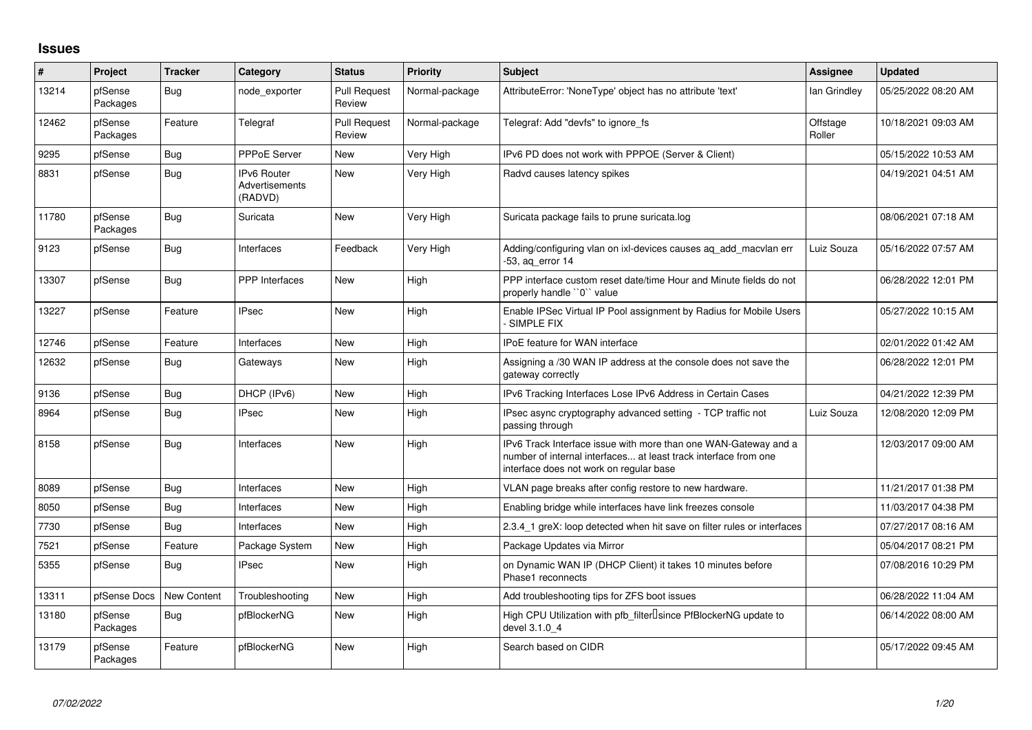## **Issues**

| $\vert$ # | <b>Project</b>      | <b>Tracker</b>     | Category                                        | <b>Status</b>                 | <b>Priority</b> | <b>Subject</b>                                                                                                                                                                | Assignee           | <b>Updated</b>      |
|-----------|---------------------|--------------------|-------------------------------------------------|-------------------------------|-----------------|-------------------------------------------------------------------------------------------------------------------------------------------------------------------------------|--------------------|---------------------|
| 13214     | pfSense<br>Packages | Bug                | node exporter                                   | <b>Pull Request</b><br>Review | Normal-package  | AttributeError: 'NoneType' object has no attribute 'text'                                                                                                                     | lan Grindley       | 05/25/2022 08:20 AM |
| 12462     | pfSense<br>Packages | Feature            | Telegraf                                        | <b>Pull Request</b><br>Review | Normal-package  | Telegraf: Add "devfs" to ignore fs                                                                                                                                            | Offstage<br>Roller | 10/18/2021 09:03 AM |
| 9295      | pfSense             | <b>Bug</b>         | PPPoE Server                                    | <b>New</b>                    | Very High       | IPv6 PD does not work with PPPOE (Server & Client)                                                                                                                            |                    | 05/15/2022 10:53 AM |
| 8831      | pfSense             | <b>Bug</b>         | <b>IPv6 Router</b><br>Advertisements<br>(RADVD) | <b>New</b>                    | Very High       | Radvd causes latency spikes                                                                                                                                                   |                    | 04/19/2021 04:51 AM |
| 11780     | pfSense<br>Packages | <b>Bug</b>         | Suricata                                        | <b>New</b>                    | Very High       | Suricata package fails to prune suricata.log                                                                                                                                  |                    | 08/06/2021 07:18 AM |
| 9123      | pfSense             | Bug                | Interfaces                                      | Feedback                      | Very High       | Adding/configuring vlan on ixl-devices causes ag add macvlan err<br>-53, ag error 14                                                                                          | Luiz Souza         | 05/16/2022 07:57 AM |
| 13307     | pfSense             | <b>Bug</b>         | PPP Interfaces                                  | <b>New</b>                    | High            | PPP interface custom reset date/time Hour and Minute fields do not<br>properly handle "0" value                                                                               |                    | 06/28/2022 12:01 PM |
| 13227     | pfSense             | Feature            | <b>IPsec</b>                                    | <b>New</b>                    | High            | Enable IPSec Virtual IP Pool assignment by Radius for Mobile Users<br>- SIMPLE FIX                                                                                            |                    | 05/27/2022 10:15 AM |
| 12746     | pfSense             | Feature            | Interfaces                                      | <b>New</b>                    | High            | <b>IPoE</b> feature for WAN interface                                                                                                                                         |                    | 02/01/2022 01:42 AM |
| 12632     | pfSense             | Bug                | Gateways                                        | <b>New</b>                    | High            | Assigning a /30 WAN IP address at the console does not save the<br>gateway correctly                                                                                          |                    | 06/28/2022 12:01 PM |
| 9136      | pfSense             | <b>Bug</b>         | DHCP (IPv6)                                     | <b>New</b>                    | High            | IPv6 Tracking Interfaces Lose IPv6 Address in Certain Cases                                                                                                                   |                    | 04/21/2022 12:39 PM |
| 8964      | pfSense             | <b>Bug</b>         | <b>IPsec</b>                                    | <b>New</b>                    | High            | IPsec async cryptography advanced setting - TCP traffic not<br>passing through                                                                                                | Luiz Souza         | 12/08/2020 12:09 PM |
| 8158      | pfSense             | <b>Bug</b>         | Interfaces                                      | <b>New</b>                    | High            | IPv6 Track Interface issue with more than one WAN-Gateway and a<br>number of internal interfaces at least track interface from one<br>interface does not work on regular base |                    | 12/03/2017 09:00 AM |
| 8089      | pfSense             | <b>Bug</b>         | Interfaces                                      | <b>New</b>                    | High            | VLAN page breaks after config restore to new hardware.                                                                                                                        |                    | 11/21/2017 01:38 PM |
| 8050      | pfSense             | Bug                | Interfaces                                      | <b>New</b>                    | High            | Enabling bridge while interfaces have link freezes console                                                                                                                    |                    | 11/03/2017 04:38 PM |
| 7730      | pfSense             | <b>Bug</b>         | Interfaces                                      | <b>New</b>                    | High            | 2.3.4_1 greX: loop detected when hit save on filter rules or interfaces                                                                                                       |                    | 07/27/2017 08:16 AM |
| 7521      | pfSense             | Feature            | Package System                                  | <b>New</b>                    | High            | Package Updates via Mirror                                                                                                                                                    |                    | 05/04/2017 08:21 PM |
| 5355      | pfSense             | <b>Bug</b>         | <b>IPsec</b>                                    | <b>New</b>                    | High            | on Dynamic WAN IP (DHCP Client) it takes 10 minutes before<br>Phase1 reconnects                                                                                               |                    | 07/08/2016 10:29 PM |
| 13311     | pfSense Docs        | <b>New Content</b> | Troubleshooting                                 | New                           | High            | Add troubleshooting tips for ZFS boot issues                                                                                                                                  |                    | 06/28/2022 11:04 AM |
| 13180     | pfSense<br>Packages | Bug                | pfBlockerNG                                     | <b>New</b>                    | High            | High CPU Utilization with pfb filter Isince PfBlockerNG update to<br>devel 3.1.0 4                                                                                            |                    | 06/14/2022 08:00 AM |
| 13179     | pfSense<br>Packages | Feature            | pfBlockerNG                                     | <b>New</b>                    | High            | Search based on CIDR                                                                                                                                                          |                    | 05/17/2022 09:45 AM |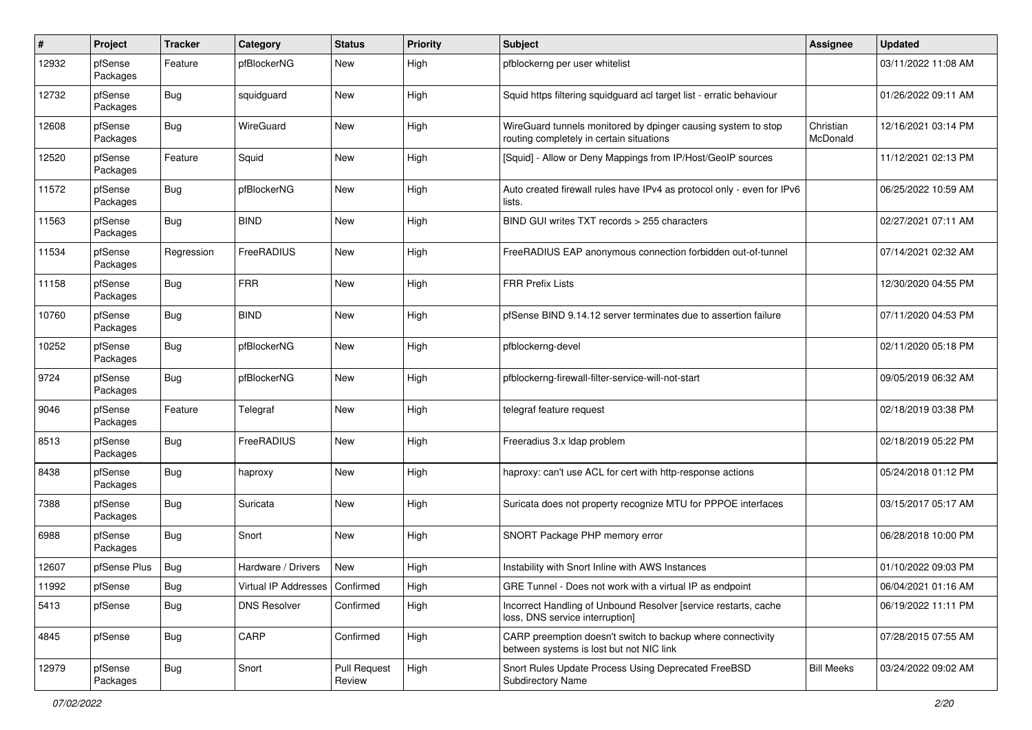| #     | Project             | <b>Tracker</b> | Category                         | <b>Status</b>                 | <b>Priority</b> | Subject                                                                                                   | <b>Assignee</b>       | <b>Updated</b>      |
|-------|---------------------|----------------|----------------------------------|-------------------------------|-----------------|-----------------------------------------------------------------------------------------------------------|-----------------------|---------------------|
| 12932 | pfSense<br>Packages | Feature        | pfBlockerNG                      | <b>New</b>                    | High            | pfblockerng per user whitelist                                                                            |                       | 03/11/2022 11:08 AM |
| 12732 | pfSense<br>Packages | Bug            | squidguard                       | New                           | High            | Squid https filtering squidguard acl target list - erratic behaviour                                      |                       | 01/26/2022 09:11 AM |
| 12608 | pfSense<br>Packages | <b>Bug</b>     | WireGuard                        | <b>New</b>                    | High            | WireGuard tunnels monitored by dpinger causing system to stop<br>routing completely in certain situations | Christian<br>McDonald | 12/16/2021 03:14 PM |
| 12520 | pfSense<br>Packages | Feature        | Squid                            | <b>New</b>                    | High            | [Squid] - Allow or Deny Mappings from IP/Host/GeoIP sources                                               |                       | 11/12/2021 02:13 PM |
| 11572 | pfSense<br>Packages | Bug            | pfBlockerNG                      | <b>New</b>                    | High            | Auto created firewall rules have IPv4 as protocol only - even for IPv6<br>lists.                          |                       | 06/25/2022 10:59 AM |
| 11563 | pfSense<br>Packages | Bug            | <b>BIND</b>                      | <b>New</b>                    | High            | BIND GUI writes TXT records > 255 characters                                                              |                       | 02/27/2021 07:11 AM |
| 11534 | pfSense<br>Packages | Regression     | FreeRADIUS                       | New                           | High            | FreeRADIUS EAP anonymous connection forbidden out-of-tunnel                                               |                       | 07/14/2021 02:32 AM |
| 11158 | pfSense<br>Packages | <b>Bug</b>     | <b>FRR</b>                       | <b>New</b>                    | High            | <b>FRR Prefix Lists</b>                                                                                   |                       | 12/30/2020 04:55 PM |
| 10760 | pfSense<br>Packages | <b>Bug</b>     | <b>BIND</b>                      | <b>New</b>                    | High            | pfSense BIND 9.14.12 server terminates due to assertion failure                                           |                       | 07/11/2020 04:53 PM |
| 10252 | pfSense<br>Packages | <b>Bug</b>     | pfBlockerNG                      | <b>New</b>                    | High            | pfblockerng-devel                                                                                         |                       | 02/11/2020 05:18 PM |
| 9724  | pfSense<br>Packages | <b>Bug</b>     | pfBlockerNG                      | <b>New</b>                    | High            | pfblockerng-firewall-filter-service-will-not-start                                                        |                       | 09/05/2019 06:32 AM |
| 9046  | pfSense<br>Packages | Feature        | Telegraf                         | <b>New</b>                    | High            | telegraf feature request                                                                                  |                       | 02/18/2019 03:38 PM |
| 8513  | pfSense<br>Packages | Bug            | FreeRADIUS                       | <b>New</b>                    | High            | Freeradius 3.x Idap problem                                                                               |                       | 02/18/2019 05:22 PM |
| 8438  | pfSense<br>Packages | Bug            | haproxy                          | <b>New</b>                    | High            | haproxy: can't use ACL for cert with http-response actions                                                |                       | 05/24/2018 01:12 PM |
| 7388  | pfSense<br>Packages | Bug            | Suricata                         | <b>New</b>                    | High            | Suricata does not property recognize MTU for PPPOE interfaces                                             |                       | 03/15/2017 05:17 AM |
| 6988  | pfSense<br>Packages | <b>Bug</b>     | Snort                            | <b>New</b>                    | High            | SNORT Package PHP memory error                                                                            |                       | 06/28/2018 10:00 PM |
| 12607 | pfSense Plus        | <b>Bug</b>     | Hardware / Drivers               | New                           | High            | Instability with Snort Inline with AWS Instances                                                          |                       | 01/10/2022 09:03 PM |
| 11992 | pfSense             | <b>Bug</b>     | Virtual IP Addresses   Confirmed |                               | High            | GRE Tunnel - Does not work with a virtual IP as endpoint                                                  |                       | 06/04/2021 01:16 AM |
| 5413  | pfSense             | <b>Bug</b>     | <b>DNS Resolver</b>              | Confirmed                     | High            | Incorrect Handling of Unbound Resolver [service restarts, cache<br>loss, DNS service interruption]        |                       | 06/19/2022 11:11 PM |
| 4845  | pfSense             | <b>Bug</b>     | CARP                             | Confirmed                     | High            | CARP preemption doesn't switch to backup where connectivity<br>between systems is lost but not NIC link   |                       | 07/28/2015 07:55 AM |
| 12979 | pfSense<br>Packages | <b>Bug</b>     | Snort                            | <b>Pull Request</b><br>Review | High            | Snort Rules Update Process Using Deprecated FreeBSD<br>Subdirectory Name                                  | <b>Bill Meeks</b>     | 03/24/2022 09:02 AM |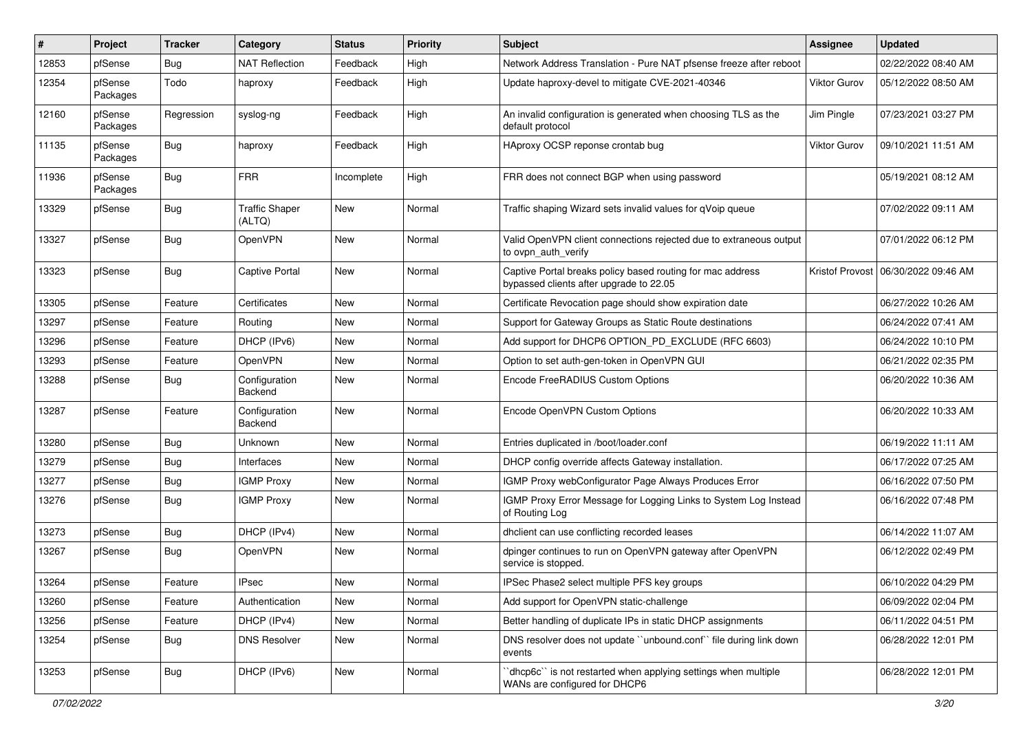| ∦     | Project             | Tracker    | Category                        | <b>Status</b> | <b>Priority</b> | <b>Subject</b>                                                                                        | <b>Assignee</b> | <b>Updated</b>      |
|-------|---------------------|------------|---------------------------------|---------------|-----------------|-------------------------------------------------------------------------------------------------------|-----------------|---------------------|
| 12853 | pfSense             | <b>Bug</b> | <b>NAT Reflection</b>           | Feedback      | High            | Network Address Translation - Pure NAT pfsense freeze after reboot                                    |                 | 02/22/2022 08:40 AM |
| 12354 | pfSense<br>Packages | Todo       | haproxy                         | Feedback      | High            | Update haproxy-devel to mitigate CVE-2021-40346                                                       | Viktor Gurov    | 05/12/2022 08:50 AM |
| 12160 | pfSense<br>Packages | Regression | syslog-ng                       | Feedback      | High            | An invalid configuration is generated when choosing TLS as the<br>default protocol                    | Jim Pingle      | 07/23/2021 03:27 PM |
| 11135 | pfSense<br>Packages | Bug        | haproxy                         | Feedback      | High            | HAproxy OCSP reponse crontab bug                                                                      | Viktor Gurov    | 09/10/2021 11:51 AM |
| 11936 | pfSense<br>Packages | Bug        | <b>FRR</b>                      | Incomplete    | High            | FRR does not connect BGP when using password                                                          |                 | 05/19/2021 08:12 AM |
| 13329 | pfSense             | Bug        | <b>Traffic Shaper</b><br>(ALTQ) | New           | Normal          | Traffic shaping Wizard sets invalid values for qVoip queue                                            |                 | 07/02/2022 09:11 AM |
| 13327 | pfSense             | Bug        | <b>OpenVPN</b>                  | <b>New</b>    | Normal          | Valid OpenVPN client connections rejected due to extraneous output<br>to ovpn_auth_verify             |                 | 07/01/2022 06:12 PM |
| 13323 | pfSense             | Bug        | <b>Captive Portal</b>           | <b>New</b>    | Normal          | Captive Portal breaks policy based routing for mac address<br>bypassed clients after upgrade to 22.05 | Kristof Provost | 06/30/2022 09:46 AM |
| 13305 | pfSense             | Feature    | Certificates                    | <b>New</b>    | Normal          | Certificate Revocation page should show expiration date                                               |                 | 06/27/2022 10:26 AM |
| 13297 | pfSense             | Feature    | Routing                         | New           | Normal          | Support for Gateway Groups as Static Route destinations                                               |                 | 06/24/2022 07:41 AM |
| 13296 | pfSense             | Feature    | DHCP (IPv6)                     | New           | Normal          | Add support for DHCP6 OPTION PD EXCLUDE (RFC 6603)                                                    |                 | 06/24/2022 10:10 PM |
| 13293 | pfSense             | Feature    | OpenVPN                         | <b>New</b>    | Normal          | Option to set auth-gen-token in OpenVPN GUI                                                           |                 | 06/21/2022 02:35 PM |
| 13288 | pfSense             | <b>Bug</b> | Configuration<br>Backend        | New           | Normal          | Encode FreeRADIUS Custom Options                                                                      |                 | 06/20/2022 10:36 AM |
| 13287 | pfSense             | Feature    | Configuration<br>Backend        | <b>New</b>    | Normal          | Encode OpenVPN Custom Options                                                                         |                 | 06/20/2022 10:33 AM |
| 13280 | pfSense             | <b>Bug</b> | Unknown                         | New           | Normal          | Entries duplicated in /boot/loader.conf                                                               |                 | 06/19/2022 11:11 AM |
| 13279 | pfSense             | <b>Bug</b> | Interfaces                      | New           | Normal          | DHCP config override affects Gateway installation.                                                    |                 | 06/17/2022 07:25 AM |
| 13277 | pfSense             | <b>Bug</b> | <b>IGMP Proxy</b>               | <b>New</b>    | Normal          | IGMP Proxy webConfigurator Page Always Produces Error                                                 |                 | 06/16/2022 07:50 PM |
| 13276 | pfSense             | Bug        | <b>IGMP Proxy</b>               | New           | Normal          | IGMP Proxy Error Message for Logging Links to System Log Instead<br>of Routing Log                    |                 | 06/16/2022 07:48 PM |
| 13273 | pfSense             | <b>Bug</b> | DHCP (IPv4)                     | <b>New</b>    | Normal          | dhclient can use conflicting recorded leases                                                          |                 | 06/14/2022 11:07 AM |
| 13267 | pfSense             | Bug        | <b>OpenVPN</b>                  | <b>New</b>    | Normal          | dpinger continues to run on OpenVPN gateway after OpenVPN<br>service is stopped.                      |                 | 06/12/2022 02:49 PM |
| 13264 | pfSense             | Feature    | <b>IPsec</b>                    | New           | Normal          | IPSec Phase2 select multiple PFS key groups                                                           |                 | 06/10/2022 04:29 PM |
| 13260 | pfSense             | Feature    | Authentication                  | New           | Normal          | Add support for OpenVPN static-challenge                                                              |                 | 06/09/2022 02:04 PM |
| 13256 | pfSense             | Feature    | DHCP (IPv4)                     | New           | Normal          | Better handling of duplicate IPs in static DHCP assignments                                           |                 | 06/11/2022 04:51 PM |
| 13254 | pfSense             | <b>Bug</b> | <b>DNS Resolver</b>             | New           | Normal          | DNS resolver does not update "unbound.conf" file during link down<br>events                           |                 | 06/28/2022 12:01 PM |
| 13253 | pfSense             | <b>Bug</b> | DHCP (IPv6)                     | New           | Normal          | 'dhcp6c' is not restarted when applying settings when multiple<br>WANs are configured for DHCP6       |                 | 06/28/2022 12:01 PM |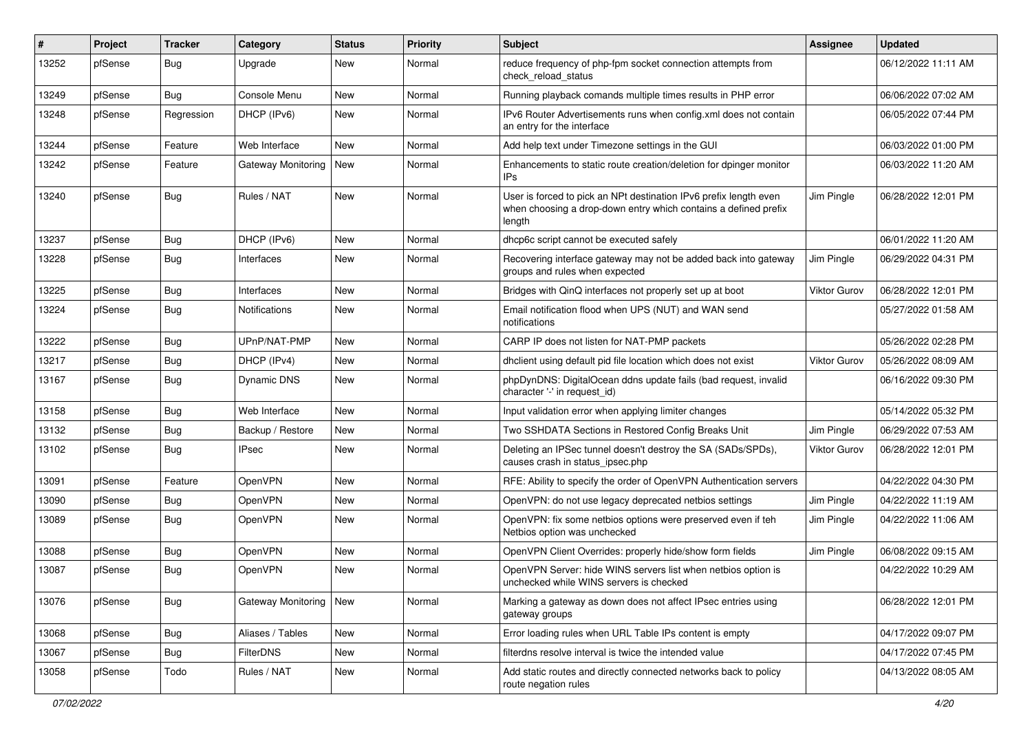| #     | Project | <b>Tracker</b> | Category                  | <b>Status</b> | <b>Priority</b> | Subject                                                                                                                                        | <b>Assignee</b> | <b>Updated</b>      |
|-------|---------|----------------|---------------------------|---------------|-----------------|------------------------------------------------------------------------------------------------------------------------------------------------|-----------------|---------------------|
| 13252 | pfSense | Bug            | Upgrade                   | New           | Normal          | reduce frequency of php-fpm socket connection attempts from<br>check_reload_status                                                             |                 | 06/12/2022 11:11 AM |
| 13249 | pfSense | <b>Bug</b>     | Console Menu              | <b>New</b>    | Normal          | Running playback comands multiple times results in PHP error                                                                                   |                 | 06/06/2022 07:02 AM |
| 13248 | pfSense | Regression     | DHCP (IPv6)               | New           | Normal          | IPv6 Router Advertisements runs when config.xml does not contain<br>an entry for the interface                                                 |                 | 06/05/2022 07:44 PM |
| 13244 | pfSense | Feature        | Web Interface             | New           | Normal          | Add help text under Timezone settings in the GUI                                                                                               |                 | 06/03/2022 01:00 PM |
| 13242 | pfSense | Feature        | <b>Gateway Monitoring</b> | New           | Normal          | Enhancements to static route creation/deletion for dpinger monitor<br>IPs                                                                      |                 | 06/03/2022 11:20 AM |
| 13240 | pfSense | <b>Bug</b>     | Rules / NAT               | <b>New</b>    | Normal          | User is forced to pick an NPt destination IPv6 prefix length even<br>when choosing a drop-down entry which contains a defined prefix<br>length | Jim Pingle      | 06/28/2022 12:01 PM |
| 13237 | pfSense | Bug            | DHCP (IPv6)               | New           | Normal          | dhcp6c script cannot be executed safely                                                                                                        |                 | 06/01/2022 11:20 AM |
| 13228 | pfSense | Bug            | Interfaces                | New           | Normal          | Recovering interface gateway may not be added back into gateway<br>groups and rules when expected                                              | Jim Pingle      | 06/29/2022 04:31 PM |
| 13225 | pfSense | Bug            | Interfaces                | New           | Normal          | Bridges with QinQ interfaces not properly set up at boot                                                                                       | Viktor Gurov    | 06/28/2022 12:01 PM |
| 13224 | pfSense | Bug            | Notifications             | New           | Normal          | Email notification flood when UPS (NUT) and WAN send<br>notifications                                                                          |                 | 05/27/2022 01:58 AM |
| 13222 | pfSense | Bug            | UPnP/NAT-PMP              | New           | Normal          | CARP IP does not listen for NAT-PMP packets                                                                                                    |                 | 05/26/2022 02:28 PM |
| 13217 | pfSense | Bug            | DHCP (IPv4)               | New           | Normal          | dhclient using default pid file location which does not exist                                                                                  | Viktor Gurov    | 05/26/2022 08:09 AM |
| 13167 | pfSense | Bug            | Dynamic DNS               | New           | Normal          | phpDynDNS: DigitalOcean ddns update fails (bad request, invalid<br>character '-' in request_id)                                                |                 | 06/16/2022 09:30 PM |
| 13158 | pfSense | <b>Bug</b>     | Web Interface             | <b>New</b>    | Normal          | Input validation error when applying limiter changes                                                                                           |                 | 05/14/2022 05:32 PM |
| 13132 | pfSense | Bug            | Backup / Restore          | New           | Normal          | Two SSHDATA Sections in Restored Config Breaks Unit                                                                                            | Jim Pingle      | 06/29/2022 07:53 AM |
| 13102 | pfSense | Bug            | <b>IPsec</b>              | New           | Normal          | Deleting an IPSec tunnel doesn't destroy the SA (SADs/SPDs),<br>causes crash in status ipsec.php                                               | Viktor Gurov    | 06/28/2022 12:01 PM |
| 13091 | pfSense | Feature        | OpenVPN                   | New           | Normal          | RFE: Ability to specify the order of OpenVPN Authentication servers                                                                            |                 | 04/22/2022 04:30 PM |
| 13090 | pfSense | Bug            | OpenVPN                   | <b>New</b>    | Normal          | OpenVPN: do not use legacy deprecated netbios settings                                                                                         | Jim Pingle      | 04/22/2022 11:19 AM |
| 13089 | pfSense | <b>Bug</b>     | OpenVPN                   | New           | Normal          | OpenVPN: fix some netbios options were preserved even if teh<br>Netbios option was unchecked                                                   | Jim Pingle      | 04/22/2022 11:06 AM |
| 13088 | pfSense | Bug            | <b>OpenVPN</b>            | New           | Normal          | OpenVPN Client Overrides: properly hide/show form fields                                                                                       | Jim Pingle      | 06/08/2022 09:15 AM |
| 13087 | pfSense | Bug            | OpenVPN                   | New           | Normal          | OpenVPN Server: hide WINS servers list when netbios option is<br>unchecked while WINS servers is checked                                       |                 | 04/22/2022 10:29 AM |
| 13076 | pfSense | <b>Bug</b>     | Gateway Monitoring        | New           | Normal          | Marking a gateway as down does not affect IPsec entries using<br>gateway groups                                                                |                 | 06/28/2022 12:01 PM |
| 13068 | pfSense | <b>Bug</b>     | Aliases / Tables          | New           | Normal          | Error loading rules when URL Table IPs content is empty                                                                                        |                 | 04/17/2022 09:07 PM |
| 13067 | pfSense | <b>Bug</b>     | FilterDNS                 | New           | Normal          | filterdns resolve interval is twice the intended value                                                                                         |                 | 04/17/2022 07:45 PM |
| 13058 | pfSense | Todo           | Rules / NAT               | New           | Normal          | Add static routes and directly connected networks back to policy<br>route negation rules                                                       |                 | 04/13/2022 08:05 AM |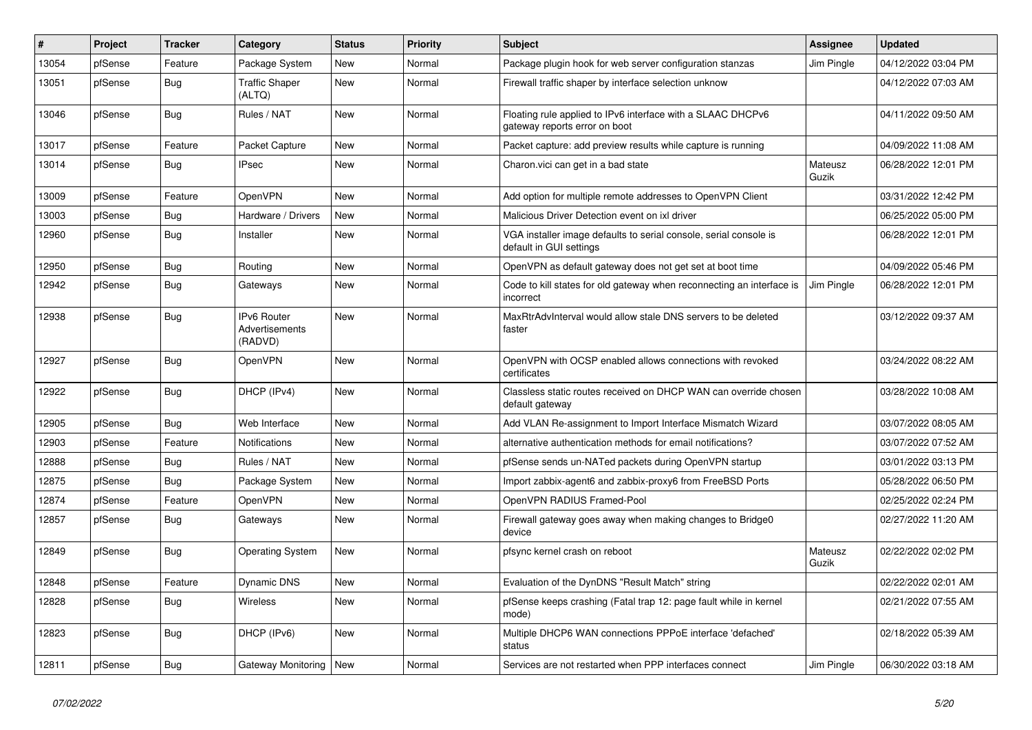| $\vert$ # | Project | <b>Tracker</b> | Category                                        | <b>Status</b> | <b>Priority</b> | <b>Subject</b>                                                                               | Assignee         | <b>Updated</b>      |
|-----------|---------|----------------|-------------------------------------------------|---------------|-----------------|----------------------------------------------------------------------------------------------|------------------|---------------------|
| 13054     | pfSense | Feature        | Package System                                  | <b>New</b>    | Normal          | Package plugin hook for web server configuration stanzas                                     | Jim Pingle       | 04/12/2022 03:04 PM |
| 13051     | pfSense | <b>Bug</b>     | <b>Traffic Shaper</b><br>(ALTQ)                 | New           | Normal          | Firewall traffic shaper by interface selection unknow                                        |                  | 04/12/2022 07:03 AM |
| 13046     | pfSense | <b>Bug</b>     | Rules / NAT                                     | New           | Normal          | Floating rule applied to IPv6 interface with a SLAAC DHCPv6<br>gateway reports error on boot |                  | 04/11/2022 09:50 AM |
| 13017     | pfSense | Feature        | Packet Capture                                  | <b>New</b>    | Normal          | Packet capture: add preview results while capture is running                                 |                  | 04/09/2022 11:08 AM |
| 13014     | pfSense | <b>Bug</b>     | <b>IPsec</b>                                    | <b>New</b>    | Normal          | Charon.vici can get in a bad state                                                           | Mateusz<br>Guzik | 06/28/2022 12:01 PM |
| 13009     | pfSense | Feature        | <b>OpenVPN</b>                                  | <b>New</b>    | Normal          | Add option for multiple remote addresses to OpenVPN Client                                   |                  | 03/31/2022 12:42 PM |
| 13003     | pfSense | Bug            | Hardware / Drivers                              | <b>New</b>    | Normal          | Malicious Driver Detection event on ixl driver                                               |                  | 06/25/2022 05:00 PM |
| 12960     | pfSense | Bug            | Installer                                       | <b>New</b>    | Normal          | VGA installer image defaults to serial console, serial console is<br>default in GUI settings |                  | 06/28/2022 12:01 PM |
| 12950     | pfSense | <b>Bug</b>     | Routing                                         | <b>New</b>    | Normal          | OpenVPN as default gateway does not get set at boot time                                     |                  | 04/09/2022 05:46 PM |
| 12942     | pfSense | Bug            | Gateways                                        | New           | Normal          | Code to kill states for old gateway when reconnecting an interface is<br>incorrect           | Jim Pingle       | 06/28/2022 12:01 PM |
| 12938     | pfSense | <b>Bug</b>     | <b>IPv6 Router</b><br>Advertisements<br>(RADVD) | <b>New</b>    | Normal          | MaxRtrAdvInterval would allow stale DNS servers to be deleted<br>faster                      |                  | 03/12/2022 09:37 AM |
| 12927     | pfSense | Bug            | <b>OpenVPN</b>                                  | New           | Normal          | OpenVPN with OCSP enabled allows connections with revoked<br>certificates                    |                  | 03/24/2022 08:22 AM |
| 12922     | pfSense | Bug            | DHCP (IPv4)                                     | <b>New</b>    | Normal          | Classless static routes received on DHCP WAN can override chosen<br>default gateway          |                  | 03/28/2022 10:08 AM |
| 12905     | pfSense | Bug            | Web Interface                                   | <b>New</b>    | Normal          | Add VLAN Re-assignment to Import Interface Mismatch Wizard                                   |                  | 03/07/2022 08:05 AM |
| 12903     | pfSense | Feature        | <b>Notifications</b>                            | <b>New</b>    | Normal          | alternative authentication methods for email notifications?                                  |                  | 03/07/2022 07:52 AM |
| 12888     | pfSense | <b>Bug</b>     | Rules / NAT                                     | <b>New</b>    | Normal          | pfSense sends un-NATed packets during OpenVPN startup                                        |                  | 03/01/2022 03:13 PM |
| 12875     | pfSense | <b>Bug</b>     | Package System                                  | <b>New</b>    | Normal          | Import zabbix-agent6 and zabbix-proxy6 from FreeBSD Ports                                    |                  | 05/28/2022 06:50 PM |
| 12874     | pfSense | Feature        | <b>OpenVPN</b>                                  | <b>New</b>    | Normal          | OpenVPN RADIUS Framed-Pool                                                                   |                  | 02/25/2022 02:24 PM |
| 12857     | pfSense | <b>Bug</b>     | Gateways                                        | New           | Normal          | Firewall gateway goes away when making changes to Bridge0<br>device                          |                  | 02/27/2022 11:20 AM |
| 12849     | pfSense | <b>Bug</b>     | <b>Operating System</b>                         | <b>New</b>    | Normal          | pfsync kernel crash on reboot                                                                | Mateusz<br>Guzik | 02/22/2022 02:02 PM |
| 12848     | pfSense | Feature        | <b>Dynamic DNS</b>                              | <b>New</b>    | Normal          | Evaluation of the DynDNS "Result Match" string                                               |                  | 02/22/2022 02:01 AM |
| 12828     | pfSense | Bug            | Wireless                                        | New           | Normal          | pfSense keeps crashing (Fatal trap 12: page fault while in kernel<br>mode)                   |                  | 02/21/2022 07:55 AM |
| 12823     | pfSense | <b>Bug</b>     | DHCP (IPv6)                                     | <b>New</b>    | Normal          | Multiple DHCP6 WAN connections PPPoE interface 'defached'<br>status                          |                  | 02/18/2022 05:39 AM |
| 12811     | pfSense | <b>Bug</b>     | Gateway Monitoring   New                        |               | Normal          | Services are not restarted when PPP interfaces connect                                       | Jim Pingle       | 06/30/2022 03:18 AM |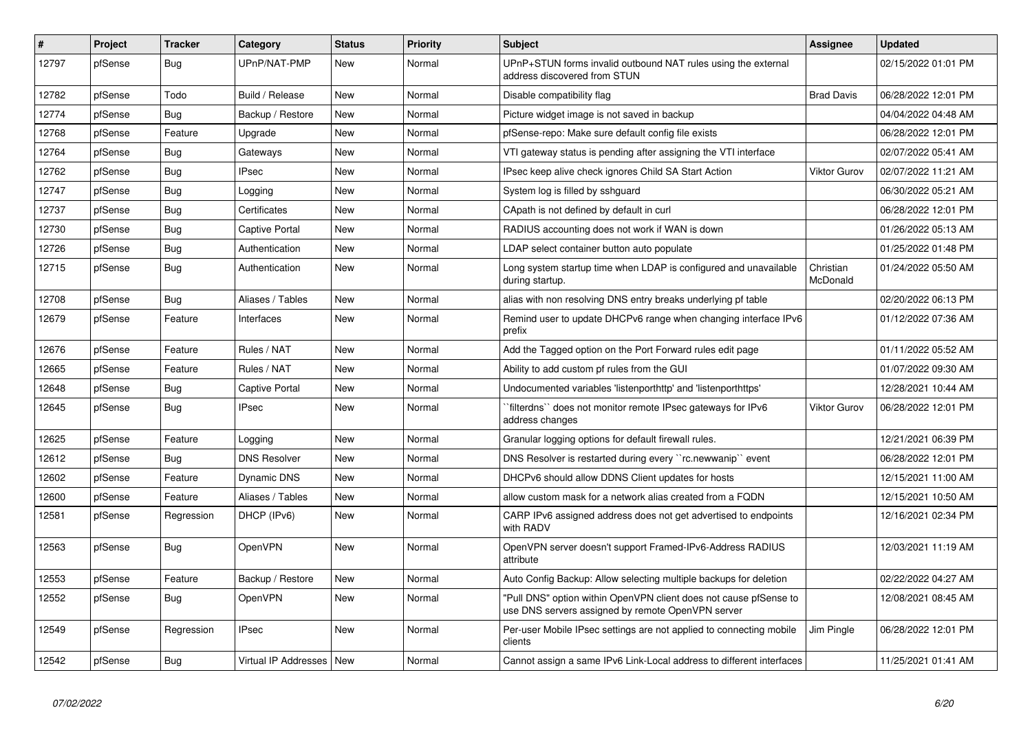| $\vert$ # | Project | <b>Tracker</b> | Category              | <b>Status</b> | <b>Priority</b> | <b>Subject</b>                                                                                                         | Assignee              | <b>Updated</b>      |
|-----------|---------|----------------|-----------------------|---------------|-----------------|------------------------------------------------------------------------------------------------------------------------|-----------------------|---------------------|
| 12797     | pfSense | Bug            | UPnP/NAT-PMP          | <b>New</b>    | Normal          | UPnP+STUN forms invalid outbound NAT rules using the external<br>address discovered from STUN                          |                       | 02/15/2022 01:01 PM |
| 12782     | pfSense | Todo           | Build / Release       | <b>New</b>    | Normal          | Disable compatibility flag                                                                                             | <b>Brad Davis</b>     | 06/28/2022 12:01 PM |
| 12774     | pfSense | <b>Bug</b>     | Backup / Restore      | <b>New</b>    | Normal          | Picture widget image is not saved in backup                                                                            |                       | 04/04/2022 04:48 AM |
| 12768     | pfSense | Feature        | Upgrade               | <b>New</b>    | Normal          | pfSense-repo: Make sure default config file exists                                                                     |                       | 06/28/2022 12:01 PM |
| 12764     | pfSense | Bug            | Gateways              | <b>New</b>    | Normal          | VTI gateway status is pending after assigning the VTI interface                                                        |                       | 02/07/2022 05:41 AM |
| 12762     | pfSense | <b>Bug</b>     | <b>IPsec</b>          | <b>New</b>    | Normal          | IPsec keep alive check ignores Child SA Start Action                                                                   | <b>Viktor Gurov</b>   | 02/07/2022 11:21 AM |
| 12747     | pfSense | Bug            | Logging               | <b>New</b>    | Normal          | System log is filled by sshguard                                                                                       |                       | 06/30/2022 05:21 AM |
| 12737     | pfSense | Bug            | Certificates          | <b>New</b>    | Normal          | CApath is not defined by default in curl                                                                               |                       | 06/28/2022 12:01 PM |
| 12730     | pfSense | <b>Bug</b>     | <b>Captive Portal</b> | <b>New</b>    | Normal          | RADIUS accounting does not work if WAN is down                                                                         |                       | 01/26/2022 05:13 AM |
| 12726     | pfSense | <b>Bug</b>     | Authentication        | <b>New</b>    | Normal          | LDAP select container button auto populate                                                                             |                       | 01/25/2022 01:48 PM |
| 12715     | pfSense | Bug            | Authentication        | <b>New</b>    | Normal          | Long system startup time when LDAP is configured and unavailable<br>during startup.                                    | Christian<br>McDonald | 01/24/2022 05:50 AM |
| 12708     | pfSense | <b>Bug</b>     | Aliases / Tables      | <b>New</b>    | Normal          | alias with non resolving DNS entry breaks underlying pf table                                                          |                       | 02/20/2022 06:13 PM |
| 12679     | pfSense | Feature        | Interfaces            | <b>New</b>    | Normal          | Remind user to update DHCPv6 range when changing interface IPv6<br>prefix                                              |                       | 01/12/2022 07:36 AM |
| 12676     | pfSense | Feature        | Rules / NAT           | New           | Normal          | Add the Tagged option on the Port Forward rules edit page                                                              |                       | 01/11/2022 05:52 AM |
| 12665     | pfSense | Feature        | Rules / NAT           | New           | Normal          | Ability to add custom pf rules from the GUI                                                                            |                       | 01/07/2022 09:30 AM |
| 12648     | pfSense | <b>Bug</b>     | <b>Captive Portal</b> | <b>New</b>    | Normal          | Undocumented variables 'listenporthttp' and 'listenporthttps'                                                          |                       | 12/28/2021 10:44 AM |
| 12645     | pfSense | <b>Bug</b>     | <b>IPsec</b>          | <b>New</b>    | Normal          | filterdns" does not monitor remote IPsec gateways for IPv6<br>address changes                                          | Viktor Gurov          | 06/28/2022 12:01 PM |
| 12625     | pfSense | Feature        | Logging               | New           | Normal          | Granular logging options for default firewall rules.                                                                   |                       | 12/21/2021 06:39 PM |
| 12612     | pfSense | <b>Bug</b>     | <b>DNS Resolver</b>   | New           | Normal          | DNS Resolver is restarted during every "rc.newwanip" event                                                             |                       | 06/28/2022 12:01 PM |
| 12602     | pfSense | Feature        | Dynamic DNS           | New           | Normal          | DHCPv6 should allow DDNS Client updates for hosts                                                                      |                       | 12/15/2021 11:00 AM |
| 12600     | pfSense | Feature        | Aliases / Tables      | <b>New</b>    | Normal          | allow custom mask for a network alias created from a FQDN                                                              |                       | 12/15/2021 10:50 AM |
| 12581     | pfSense | Regression     | DHCP (IPv6)           | <b>New</b>    | Normal          | CARP IPv6 assigned address does not get advertised to endpoints<br>with RADV                                           |                       | 12/16/2021 02:34 PM |
| 12563     | pfSense | <b>Bug</b>     | <b>OpenVPN</b>        | <b>New</b>    | Normal          | OpenVPN server doesn't support Framed-IPv6-Address RADIUS<br>attribute                                                 |                       | 12/03/2021 11:19 AM |
| 12553     | pfSense | Feature        | Backup / Restore      | <b>New</b>    | Normal          | Auto Config Backup: Allow selecting multiple backups for deletion                                                      |                       | 02/22/2022 04:27 AM |
| 12552     | pfSense | Bug            | <b>OpenVPN</b>        | <b>New</b>    | Normal          | "Pull DNS" option within OpenVPN client does not cause pfSense to<br>use DNS servers assigned by remote OpenVPN server |                       | 12/08/2021 08:45 AM |
| 12549     | pfSense | Regression     | <b>IPsec</b>          | <b>New</b>    | Normal          | Per-user Mobile IPsec settings are not applied to connecting mobile<br>clients                                         | Jim Pingle            | 06/28/2022 12:01 PM |
| 12542     | pfSense | <b>Bug</b>     | Virtual IP Addresses  | <b>New</b>    | Normal          | Cannot assign a same IPv6 Link-Local address to different interfaces                                                   |                       | 11/25/2021 01:41 AM |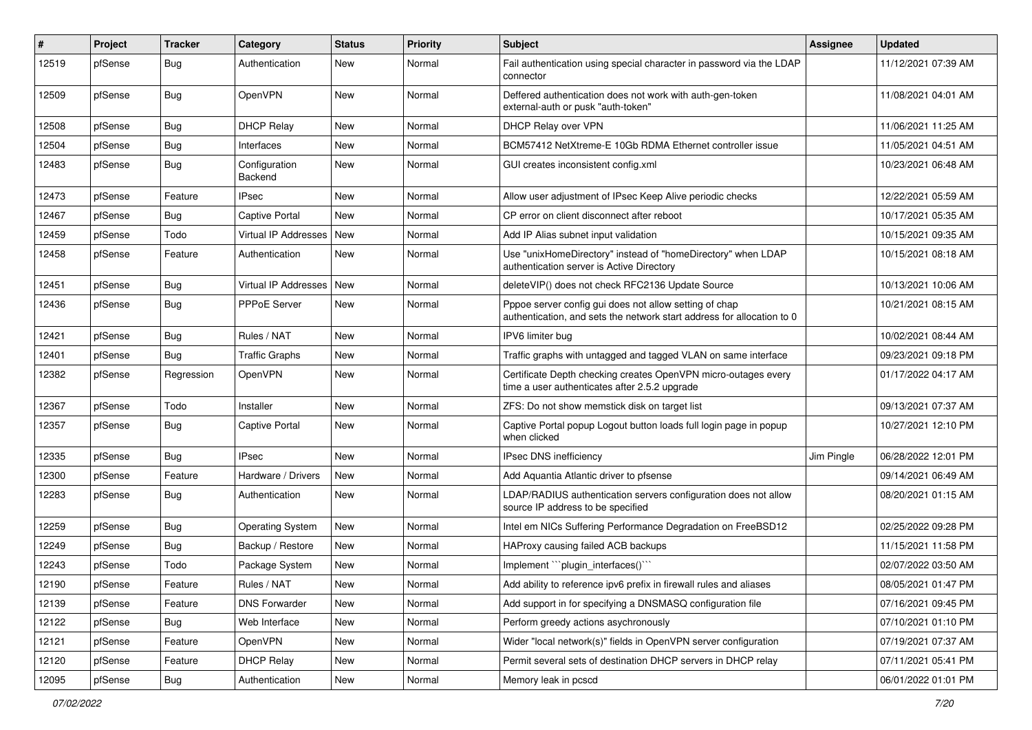| ∦     | Project | <b>Tracker</b> | Category                        | <b>Status</b> | <b>Priority</b> | Subject                                                                                                                          | Assignee   | <b>Updated</b>      |
|-------|---------|----------------|---------------------------------|---------------|-----------------|----------------------------------------------------------------------------------------------------------------------------------|------------|---------------------|
| 12519 | pfSense | Bug            | Authentication                  | New           | Normal          | Fail authentication using special character in password via the LDAP<br>connector                                                |            | 11/12/2021 07:39 AM |
| 12509 | pfSense | <b>Bug</b>     | OpenVPN                         | New           | Normal          | Deffered authentication does not work with auth-gen-token<br>external-auth or pusk "auth-token"                                  |            | 11/08/2021 04:01 AM |
| 12508 | pfSense | <b>Bug</b>     | <b>DHCP Relay</b>               | New           | Normal          | DHCP Relay over VPN                                                                                                              |            | 11/06/2021 11:25 AM |
| 12504 | pfSense | Bug            | Interfaces                      | New           | Normal          | BCM57412 NetXtreme-E 10Gb RDMA Ethernet controller issue                                                                         |            | 11/05/2021 04:51 AM |
| 12483 | pfSense | <b>Bug</b>     | Configuration<br><b>Backend</b> | New           | Normal          | GUI creates inconsistent config.xml                                                                                              |            | 10/23/2021 06:48 AM |
| 12473 | pfSense | Feature        | <b>IPsec</b>                    | New           | Normal          | Allow user adjustment of IPsec Keep Alive periodic checks                                                                        |            | 12/22/2021 05:59 AM |
| 12467 | pfSense | <b>Bug</b>     | <b>Captive Portal</b>           | New           | Normal          | CP error on client disconnect after reboot                                                                                       |            | 10/17/2021 05:35 AM |
| 12459 | pfSense | Todo           | Virtual IP Addresses            | New           | Normal          | Add IP Alias subnet input validation                                                                                             |            | 10/15/2021 09:35 AM |
| 12458 | pfSense | Feature        | Authentication                  | New           | Normal          | Use "unixHomeDirectory" instead of "homeDirectory" when LDAP<br>authentication server is Active Directory                        |            | 10/15/2021 08:18 AM |
| 12451 | pfSense | <b>Bug</b>     | Virtual IP Addresses            | <b>New</b>    | Normal          | deleteVIP() does not check RFC2136 Update Source                                                                                 |            | 10/13/2021 10:06 AM |
| 12436 | pfSense | <b>Bug</b>     | <b>PPPoE Server</b>             | New           | Normal          | Pppoe server config gui does not allow setting of chap<br>authentication, and sets the network start address for allocation to 0 |            | 10/21/2021 08:15 AM |
| 12421 | pfSense | <b>Bug</b>     | Rules / NAT                     | New           | Normal          | IPV6 limiter bug                                                                                                                 |            | 10/02/2021 08:44 AM |
| 12401 | pfSense | <b>Bug</b>     | <b>Traffic Graphs</b>           | New           | Normal          | Traffic graphs with untagged and tagged VLAN on same interface                                                                   |            | 09/23/2021 09:18 PM |
| 12382 | pfSense | Regression     | <b>OpenVPN</b>                  | New           | Normal          | Certificate Depth checking creates OpenVPN micro-outages every<br>time a user authenticates after 2.5.2 upgrade                  |            | 01/17/2022 04:17 AM |
| 12367 | pfSense | Todo           | Installer                       | <b>New</b>    | Normal          | ZFS: Do not show memstick disk on target list                                                                                    |            | 09/13/2021 07:37 AM |
| 12357 | pfSense | Bug            | <b>Captive Portal</b>           | New           | Normal          | Captive Portal popup Logout button loads full login page in popup<br>when clicked                                                |            | 10/27/2021 12:10 PM |
| 12335 | pfSense | Bug            | <b>IPsec</b>                    | <b>New</b>    | Normal          | IPsec DNS inefficiency                                                                                                           | Jim Pingle | 06/28/2022 12:01 PM |
| 12300 | pfSense | Feature        | Hardware / Drivers              | New           | Normal          | Add Aquantia Atlantic driver to pfsense                                                                                          |            | 09/14/2021 06:49 AM |
| 12283 | pfSense | <b>Bug</b>     | Authentication                  | New           | Normal          | LDAP/RADIUS authentication servers configuration does not allow<br>source IP address to be specified                             |            | 08/20/2021 01:15 AM |
| 12259 | pfSense | <b>Bug</b>     | <b>Operating System</b>         | <b>New</b>    | Normal          | Intel em NICs Suffering Performance Degradation on FreeBSD12                                                                     |            | 02/25/2022 09:28 PM |
| 12249 | pfSense | <b>Bug</b>     | Backup / Restore                | New           | Normal          | HAProxy causing failed ACB backups                                                                                               |            | 11/15/2021 11:58 PM |
| 12243 | pfSense | Todo           | Package System                  | New           | Normal          | Implement "`plugin_interfaces()`"                                                                                                |            | 02/07/2022 03:50 AM |
| 12190 | pfSense | Feature        | Rules / NAT                     | New           | Normal          | Add ability to reference ipv6 prefix in firewall rules and aliases                                                               |            | 08/05/2021 01:47 PM |
| 12139 | pfSense | Feature        | <b>DNS Forwarder</b>            | New           | Normal          | Add support in for specifying a DNSMASQ configuration file                                                                       |            | 07/16/2021 09:45 PM |
| 12122 | pfSense | <b>Bug</b>     | Web Interface                   | New           | Normal          | Perform greedy actions asychronously                                                                                             |            | 07/10/2021 01:10 PM |
| 12121 | pfSense | Feature        | OpenVPN                         | New           | Normal          | Wider "local network(s)" fields in OpenVPN server configuration                                                                  |            | 07/19/2021 07:37 AM |
| 12120 | pfSense | Feature        | <b>DHCP Relay</b>               | New           | Normal          | Permit several sets of destination DHCP servers in DHCP relay                                                                    |            | 07/11/2021 05:41 PM |
| 12095 | pfSense | Bug            | Authentication                  | New           | Normal          | Memory leak in pcscd                                                                                                             |            | 06/01/2022 01:01 PM |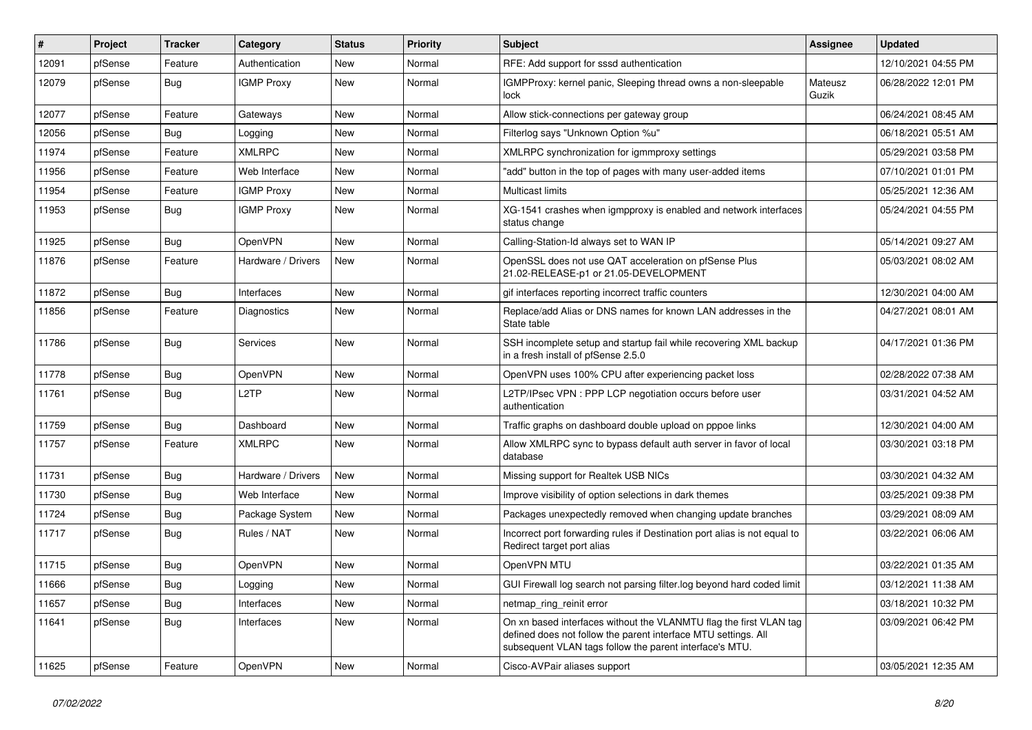| #     | Project | Tracker    | Category           | <b>Status</b> | Priority | <b>Subject</b>                                                                                                                                                                                  | Assignee         | <b>Updated</b>      |
|-------|---------|------------|--------------------|---------------|----------|-------------------------------------------------------------------------------------------------------------------------------------------------------------------------------------------------|------------------|---------------------|
| 12091 | pfSense | Feature    | Authentication     | <b>New</b>    | Normal   | RFE: Add support for sssd authentication                                                                                                                                                        |                  | 12/10/2021 04:55 PM |
| 12079 | pfSense | Bug        | <b>IGMP Proxy</b>  | <b>New</b>    | Normal   | IGMPProxy: kernel panic, Sleeping thread owns a non-sleepable<br>lock                                                                                                                           | Mateusz<br>Guzik | 06/28/2022 12:01 PM |
| 12077 | pfSense | Feature    | Gateways           | New           | Normal   | Allow stick-connections per gateway group                                                                                                                                                       |                  | 06/24/2021 08:45 AM |
| 12056 | pfSense | Bug        | Logging            | New           | Normal   | Filterlog says "Unknown Option %u"                                                                                                                                                              |                  | 06/18/2021 05:51 AM |
| 11974 | pfSense | Feature    | <b>XMLRPC</b>      | New           | Normal   | XMLRPC synchronization for igmmproxy settings                                                                                                                                                   |                  | 05/29/2021 03:58 PM |
| 11956 | pfSense | Feature    | Web Interface      | New           | Normal   | "add" button in the top of pages with many user-added items                                                                                                                                     |                  | 07/10/2021 01:01 PM |
| 11954 | pfSense | Feature    | <b>IGMP Proxy</b>  | <b>New</b>    | Normal   | Multicast limits                                                                                                                                                                                |                  | 05/25/2021 12:36 AM |
| 11953 | pfSense | Bug        | <b>IGMP Proxy</b>  | New           | Normal   | XG-1541 crashes when igmpproxy is enabled and network interfaces<br>status change                                                                                                               |                  | 05/24/2021 04:55 PM |
| 11925 | pfSense | Bug        | <b>OpenVPN</b>     | <b>New</b>    | Normal   | Calling-Station-Id always set to WAN IP                                                                                                                                                         |                  | 05/14/2021 09:27 AM |
| 11876 | pfSense | Feature    | Hardware / Drivers | <b>New</b>    | Normal   | OpenSSL does not use QAT acceleration on pfSense Plus<br>21.02-RELEASE-p1 or 21.05-DEVELOPMENT                                                                                                  |                  | 05/03/2021 08:02 AM |
| 11872 | pfSense | Bug        | Interfaces         | <b>New</b>    | Normal   | gif interfaces reporting incorrect traffic counters                                                                                                                                             |                  | 12/30/2021 04:00 AM |
| 11856 | pfSense | Feature    | Diagnostics        | <b>New</b>    | Normal   | Replace/add Alias or DNS names for known LAN addresses in the<br>State table                                                                                                                    |                  | 04/27/2021 08:01 AM |
| 11786 | pfSense | Bug        | <b>Services</b>    | <b>New</b>    | Normal   | SSH incomplete setup and startup fail while recovering XML backup<br>in a fresh install of pfSense 2.5.0                                                                                        |                  | 04/17/2021 01:36 PM |
| 11778 | pfSense | <b>Bug</b> | <b>OpenVPN</b>     | <b>New</b>    | Normal   | OpenVPN uses 100% CPU after experiencing packet loss                                                                                                                                            |                  | 02/28/2022 07:38 AM |
| 11761 | pfSense | <b>Bug</b> | L <sub>2</sub> TP  | <b>New</b>    | Normal   | L2TP/IPsec VPN : PPP LCP negotiation occurs before user<br>authentication                                                                                                                       |                  | 03/31/2021 04:52 AM |
| 11759 | pfSense | <b>Bug</b> | Dashboard          | New           | Normal   | Traffic graphs on dashboard double upload on pppoe links                                                                                                                                        |                  | 12/30/2021 04:00 AM |
| 11757 | pfSense | Feature    | <b>XMLRPC</b>      | <b>New</b>    | Normal   | Allow XMLRPC sync to bypass default auth server in favor of local<br>database                                                                                                                   |                  | 03/30/2021 03:18 PM |
| 11731 | pfSense | Bug        | Hardware / Drivers | <b>New</b>    | Normal   | Missing support for Realtek USB NICs                                                                                                                                                            |                  | 03/30/2021 04:32 AM |
| 11730 | pfSense | <b>Bug</b> | Web Interface      | <b>New</b>    | Normal   | Improve visibility of option selections in dark themes                                                                                                                                          |                  | 03/25/2021 09:38 PM |
| 11724 | pfSense | Bug        | Package System     | New           | Normal   | Packages unexpectedly removed when changing update branches                                                                                                                                     |                  | 03/29/2021 08:09 AM |
| 11717 | pfSense | <b>Bug</b> | Rules / NAT        | <b>New</b>    | Normal   | Incorrect port forwarding rules if Destination port alias is not equal to<br>Redirect target port alias                                                                                         |                  | 03/22/2021 06:06 AM |
| 11715 | pfSense | <b>Bug</b> | <b>OpenVPN</b>     | <b>New</b>    | Normal   | OpenVPN MTU                                                                                                                                                                                     |                  | 03/22/2021 01:35 AM |
| 11666 | pfSense | Bug        | Logging            | <b>New</b>    | Normal   | GUI Firewall log search not parsing filter.log beyond hard coded limit                                                                                                                          |                  | 03/12/2021 11:38 AM |
| 11657 | pfSense | <b>Bug</b> | Interfaces         | <b>New</b>    | Normal   | netmap_ring_reinit error                                                                                                                                                                        |                  | 03/18/2021 10:32 PM |
| 11641 | pfSense | <b>Bug</b> | Interfaces         | New           | Normal   | On xn based interfaces without the VLANMTU flag the first VLAN tag<br>defined does not follow the parent interface MTU settings. All<br>subsequent VLAN tags follow the parent interface's MTU. |                  | 03/09/2021 06:42 PM |
| 11625 | pfSense | Feature    | <b>OpenVPN</b>     | New           | Normal   | Cisco-AVPair aliases support                                                                                                                                                                    |                  | 03/05/2021 12:35 AM |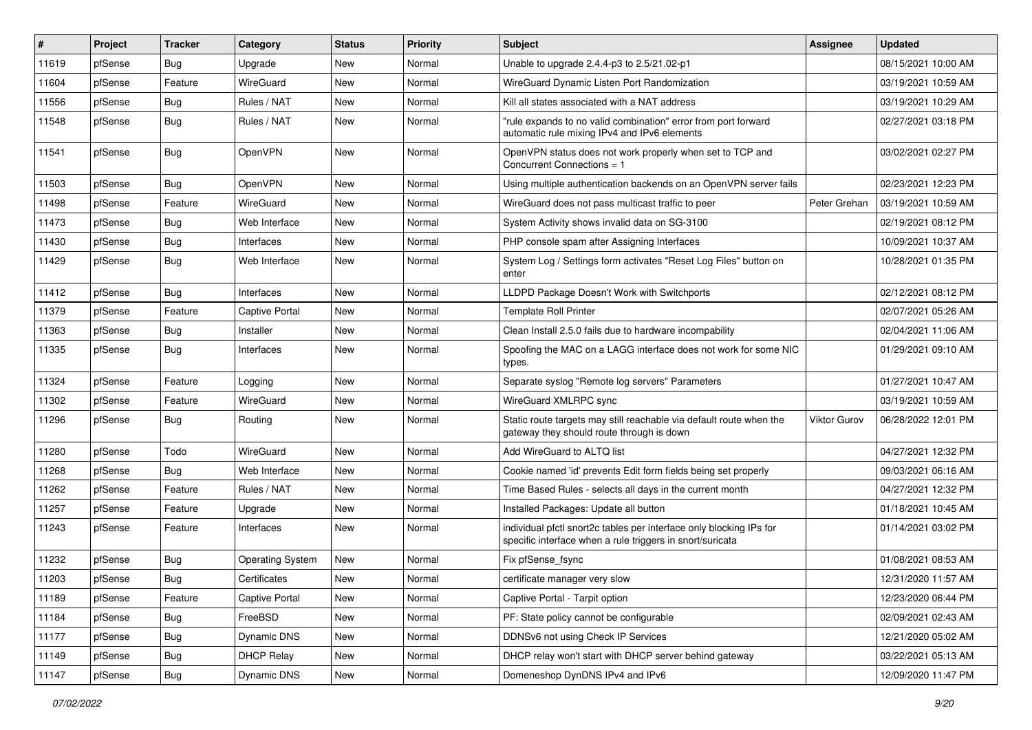| #     | Project | <b>Tracker</b> | Category                | <b>Status</b> | <b>Priority</b> | Subject                                                                                                                          | <b>Assignee</b> | <b>Updated</b>      |
|-------|---------|----------------|-------------------------|---------------|-----------------|----------------------------------------------------------------------------------------------------------------------------------|-----------------|---------------------|
| 11619 | pfSense | <b>Bug</b>     | Upgrade                 | New           | Normal          | Unable to upgrade 2.4.4-p3 to 2.5/21.02-p1                                                                                       |                 | 08/15/2021 10:00 AM |
| 11604 | pfSense | Feature        | WireGuard               | New           | Normal          | WireGuard Dynamic Listen Port Randomization                                                                                      |                 | 03/19/2021 10:59 AM |
| 11556 | pfSense | <b>Bug</b>     | Rules / NAT             | New           | Normal          | Kill all states associated with a NAT address                                                                                    |                 | 03/19/2021 10:29 AM |
| 11548 | pfSense | <b>Bug</b>     | Rules / NAT             | <b>New</b>    | Normal          | "rule expands to no valid combination" error from port forward<br>automatic rule mixing IPv4 and IPv6 elements                   |                 | 02/27/2021 03:18 PM |
| 11541 | pfSense | Bug            | OpenVPN                 | New           | Normal          | OpenVPN status does not work properly when set to TCP and<br>Concurrent Connections = 1                                          |                 | 03/02/2021 02:27 PM |
| 11503 | pfSense | Bug            | <b>OpenVPN</b>          | <b>New</b>    | Normal          | Using multiple authentication backends on an OpenVPN server fails                                                                |                 | 02/23/2021 12:23 PM |
| 11498 | pfSense | Feature        | WireGuard               | New           | Normal          | WireGuard does not pass multicast traffic to peer                                                                                | Peter Grehan    | 03/19/2021 10:59 AM |
| 11473 | pfSense | <b>Bug</b>     | Web Interface           | New           | Normal          | System Activity shows invalid data on SG-3100                                                                                    |                 | 02/19/2021 08:12 PM |
| 11430 | pfSense | Bug            | Interfaces              | New           | Normal          | PHP console spam after Assigning Interfaces                                                                                      |                 | 10/09/2021 10:37 AM |
| 11429 | pfSense | <b>Bug</b>     | Web Interface           | New           | Normal          | System Log / Settings form activates "Reset Log Files" button on<br>enter                                                        |                 | 10/28/2021 01:35 PM |
| 11412 | pfSense | Bug            | Interfaces              | New           | Normal          | LLDPD Package Doesn't Work with Switchports                                                                                      |                 | 02/12/2021 08:12 PM |
| 11379 | pfSense | Feature        | <b>Captive Portal</b>   | New           | Normal          | <b>Template Roll Printer</b>                                                                                                     |                 | 02/07/2021 05:26 AM |
| 11363 | pfSense | Bug            | Installer               | <b>New</b>    | Normal          | Clean Install 2.5.0 fails due to hardware incompability                                                                          |                 | 02/04/2021 11:06 AM |
| 11335 | pfSense | <b>Bug</b>     | Interfaces              | New           | Normal          | Spoofing the MAC on a LAGG interface does not work for some NIC<br>types.                                                        |                 | 01/29/2021 09:10 AM |
| 11324 | pfSense | Feature        | Logging                 | New           | Normal          | Separate syslog "Remote log servers" Parameters                                                                                  |                 | 01/27/2021 10:47 AM |
| 11302 | pfSense | Feature        | WireGuard               | <b>New</b>    | Normal          | WireGuard XMLRPC sync                                                                                                            |                 | 03/19/2021 10:59 AM |
| 11296 | pfSense | Bug            | Routing                 | New           | Normal          | Static route targets may still reachable via default route when the<br>gateway they should route through is down                 | Viktor Gurov    | 06/28/2022 12:01 PM |
| 11280 | pfSense | Todo           | WireGuard               | New           | Normal          | Add WireGuard to ALTQ list                                                                                                       |                 | 04/27/2021 12:32 PM |
| 11268 | pfSense | Bug            | Web Interface           | New           | Normal          | Cookie named 'id' prevents Edit form fields being set properly                                                                   |                 | 09/03/2021 06:16 AM |
| 11262 | pfSense | Feature        | Rules / NAT             | New           | Normal          | Time Based Rules - selects all days in the current month                                                                         |                 | 04/27/2021 12:32 PM |
| 11257 | pfSense | Feature        | Upgrade                 | New           | Normal          | Installed Packages: Update all button                                                                                            |                 | 01/18/2021 10:45 AM |
| 11243 | pfSense | Feature        | Interfaces              | New           | Normal          | individual pfctl snort2c tables per interface only blocking IPs for<br>specific interface when a rule triggers in snort/suricata |                 | 01/14/2021 03:02 PM |
| 11232 | pfSense | <b>Bug</b>     | <b>Operating System</b> | <b>New</b>    | Normal          | Fix pfSense_fsync                                                                                                                |                 | 01/08/2021 08:53 AM |
| 11203 | pfSense | Bug            | Certificates            | New           | Normal          | certificate manager very slow                                                                                                    |                 | 12/31/2020 11:57 AM |
| 11189 | pfSense | Feature        | Captive Portal          | New           | Normal          | Captive Portal - Tarpit option                                                                                                   |                 | 12/23/2020 06:44 PM |
| 11184 | pfSense | <b>Bug</b>     | FreeBSD                 | New           | Normal          | PF: State policy cannot be configurable                                                                                          |                 | 02/09/2021 02:43 AM |
| 11177 | pfSense | <b>Bug</b>     | Dynamic DNS             | New           | Normal          | DDNSv6 not using Check IP Services                                                                                               |                 | 12/21/2020 05:02 AM |
| 11149 | pfSense | <b>Bug</b>     | <b>DHCP Relay</b>       | New           | Normal          | DHCP relay won't start with DHCP server behind gateway                                                                           |                 | 03/22/2021 05:13 AM |
| 11147 | pfSense | Bug            | Dynamic DNS             | New           | Normal          | Domeneshop DynDNS IPv4 and IPv6                                                                                                  |                 | 12/09/2020 11:47 PM |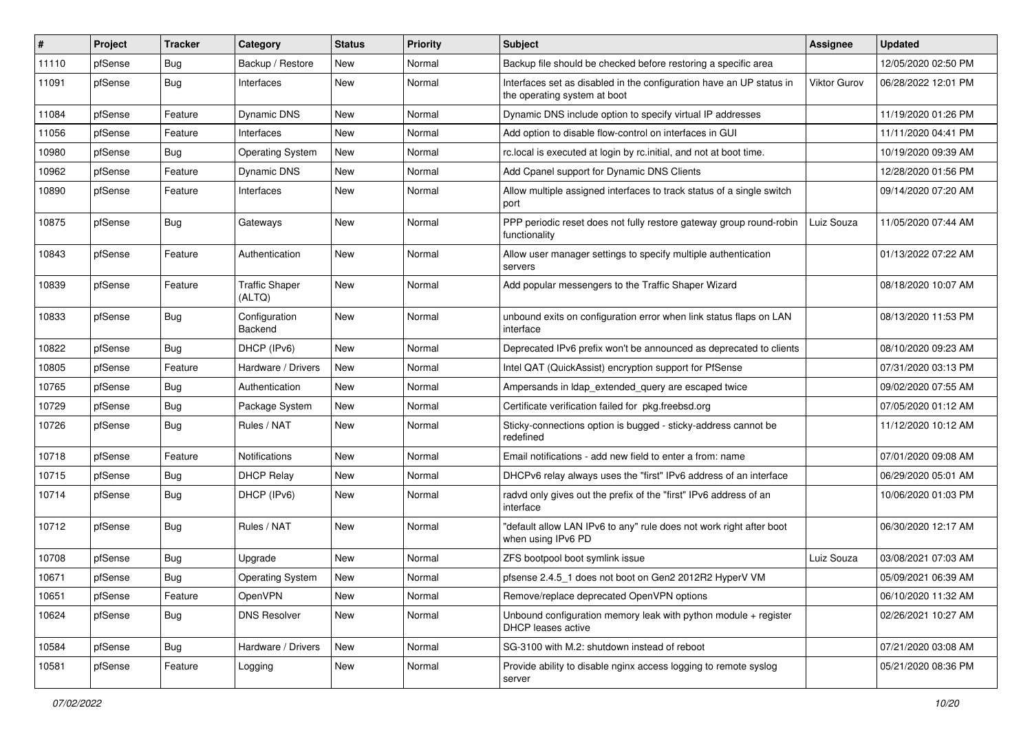| #     | Project | <b>Tracker</b> | Category                        | <b>Status</b> | <b>Priority</b> | <b>Subject</b>                                                                                       | <b>Assignee</b> | <b>Updated</b>      |
|-------|---------|----------------|---------------------------------|---------------|-----------------|------------------------------------------------------------------------------------------------------|-----------------|---------------------|
| 11110 | pfSense | <b>Bug</b>     | Backup / Restore                | New           | Normal          | Backup file should be checked before restoring a specific area                                       |                 | 12/05/2020 02:50 PM |
| 11091 | pfSense | Bug            | Interfaces                      | New           | Normal          | Interfaces set as disabled in the configuration have an UP status in<br>the operating system at boot | Viktor Gurov    | 06/28/2022 12:01 PM |
| 11084 | pfSense | Feature        | Dynamic DNS                     | <b>New</b>    | Normal          | Dynamic DNS include option to specify virtual IP addresses                                           |                 | 11/19/2020 01:26 PM |
| 11056 | pfSense | Feature        | Interfaces                      | <b>New</b>    | Normal          | Add option to disable flow-control on interfaces in GUI                                              |                 | 11/11/2020 04:41 PM |
| 10980 | pfSense | Bug            | <b>Operating System</b>         | New           | Normal          | rc.local is executed at login by rc.initial, and not at boot time.                                   |                 | 10/19/2020 09:39 AM |
| 10962 | pfSense | Feature        | Dynamic DNS                     | New           | Normal          | Add Cpanel support for Dynamic DNS Clients                                                           |                 | 12/28/2020 01:56 PM |
| 10890 | pfSense | Feature        | Interfaces                      | <b>New</b>    | Normal          | Allow multiple assigned interfaces to track status of a single switch<br>port                        |                 | 09/14/2020 07:20 AM |
| 10875 | pfSense | <b>Bug</b>     | Gateways                        | New           | Normal          | PPP periodic reset does not fully restore gateway group round-robin<br>functionality                 | Luiz Souza      | 11/05/2020 07:44 AM |
| 10843 | pfSense | Feature        | Authentication                  | <b>New</b>    | Normal          | Allow user manager settings to specify multiple authentication<br>servers                            |                 | 01/13/2022 07:22 AM |
| 10839 | pfSense | Feature        | <b>Traffic Shaper</b><br>(ALTQ) | <b>New</b>    | Normal          | Add popular messengers to the Traffic Shaper Wizard                                                  |                 | 08/18/2020 10:07 AM |
| 10833 | pfSense | Bug            | Configuration<br>Backend        | <b>New</b>    | Normal          | unbound exits on configuration error when link status flaps on LAN<br>interface                      |                 | 08/13/2020 11:53 PM |
| 10822 | pfSense | Bug            | DHCP (IPv6)                     | <b>New</b>    | Normal          | Deprecated IPv6 prefix won't be announced as deprecated to clients                                   |                 | 08/10/2020 09:23 AM |
| 10805 | pfSense | Feature        | Hardware / Drivers              | <b>New</b>    | Normal          | Intel QAT (QuickAssist) encryption support for PfSense                                               |                 | 07/31/2020 03:13 PM |
| 10765 | pfSense | <b>Bug</b>     | Authentication                  | New           | Normal          | Ampersands in Idap extended query are escaped twice                                                  |                 | 09/02/2020 07:55 AM |
| 10729 | pfSense | <b>Bug</b>     | Package System                  | New           | Normal          | Certificate verification failed for pkg.freebsd.org                                                  |                 | 07/05/2020 01:12 AM |
| 10726 | pfSense | Bug            | Rules / NAT                     | <b>New</b>    | Normal          | Sticky-connections option is bugged - sticky-address cannot be<br>redefined                          |                 | 11/12/2020 10:12 AM |
| 10718 | pfSense | Feature        | <b>Notifications</b>            | <b>New</b>    | Normal          | Email notifications - add new field to enter a from: name                                            |                 | 07/01/2020 09:08 AM |
| 10715 | pfSense | <b>Bug</b>     | <b>DHCP Relay</b>               | New           | Normal          | DHCPv6 relay always uses the "first" IPv6 address of an interface                                    |                 | 06/29/2020 05:01 AM |
| 10714 | pfSense | <b>Bug</b>     | DHCP (IPv6)                     | New           | Normal          | radvd only gives out the prefix of the "first" IPv6 address of an<br>interface                       |                 | 10/06/2020 01:03 PM |
| 10712 | pfSense | Bug            | Rules / NAT                     | <b>New</b>    | Normal          | "default allow LAN IPv6 to any" rule does not work right after boot<br>when using IPv6 PD            |                 | 06/30/2020 12:17 AM |
| 10708 | pfSense | <b>Bug</b>     | Upgrade                         | <b>New</b>    | Normal          | ZFS bootpool boot symlink issue                                                                      | Luiz Souza      | 03/08/2021 07:03 AM |
| 10671 | pfSense | <b>Bug</b>     | <b>Operating System</b>         | <b>New</b>    | Normal          | pfsense 2.4.5 1 does not boot on Gen2 2012R2 HyperV VM                                               |                 | 05/09/2021 06:39 AM |
| 10651 | pfSense | Feature        | OpenVPN                         | New           | Normal          | Remove/replace deprecated OpenVPN options                                                            |                 | 06/10/2020 11:32 AM |
| 10624 | pfSense | <b>Bug</b>     | <b>DNS Resolver</b>             | New           | Normal          | Unbound configuration memory leak with python module + register<br>DHCP leases active                |                 | 02/26/2021 10:27 AM |
| 10584 | pfSense | Bug            | Hardware / Drivers              | New           | Normal          | SG-3100 with M.2: shutdown instead of reboot                                                         |                 | 07/21/2020 03:08 AM |
| 10581 | pfSense | Feature        | Logging                         | New           | Normal          | Provide ability to disable nginx access logging to remote syslog<br>server                           |                 | 05/21/2020 08:36 PM |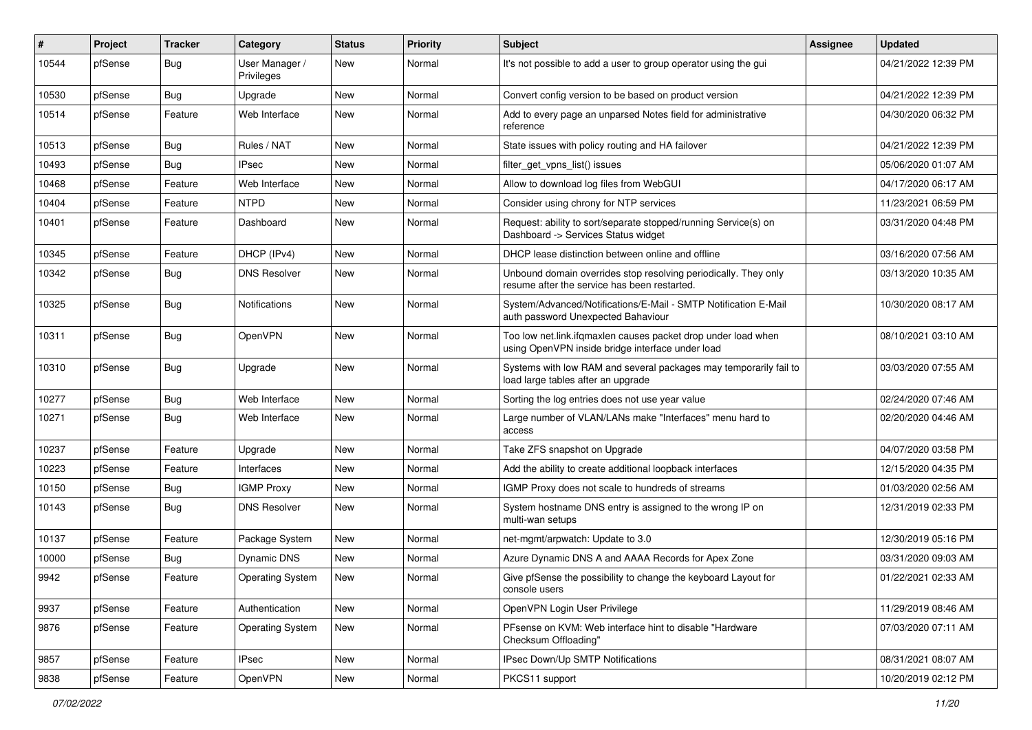| ∦     | Project | <b>Tracker</b> | Category                     | <b>Status</b> | <b>Priority</b> | <b>Subject</b>                                                                                                    | Assignee | <b>Updated</b>      |
|-------|---------|----------------|------------------------------|---------------|-----------------|-------------------------------------------------------------------------------------------------------------------|----------|---------------------|
| 10544 | pfSense | Bug            | User Manager /<br>Privileges | New           | Normal          | It's not possible to add a user to group operator using the gui                                                   |          | 04/21/2022 12:39 PM |
| 10530 | pfSense | Bug            | Upgrade                      | New           | Normal          | Convert config version to be based on product version                                                             |          | 04/21/2022 12:39 PM |
| 10514 | pfSense | Feature        | Web Interface                | New           | Normal          | Add to every page an unparsed Notes field for administrative<br>reference                                         |          | 04/30/2020 06:32 PM |
| 10513 | pfSense | Bug            | Rules / NAT                  | New           | Normal          | State issues with policy routing and HA failover                                                                  |          | 04/21/2022 12:39 PM |
| 10493 | pfSense | <b>Bug</b>     | <b>IPsec</b>                 | New           | Normal          | filter_get_vpns_list() issues                                                                                     |          | 05/06/2020 01:07 AM |
| 10468 | pfSense | Feature        | Web Interface                | New           | Normal          | Allow to download log files from WebGUI                                                                           |          | 04/17/2020 06:17 AM |
| 10404 | pfSense | Feature        | <b>NTPD</b>                  | New           | Normal          | Consider using chrony for NTP services                                                                            |          | 11/23/2021 06:59 PM |
| 10401 | pfSense | Feature        | Dashboard                    | New           | Normal          | Request: ability to sort/separate stopped/running Service(s) on<br>Dashboard -> Services Status widget            |          | 03/31/2020 04:48 PM |
| 10345 | pfSense | Feature        | DHCP (IPv4)                  | <b>New</b>    | Normal          | DHCP lease distinction between online and offline                                                                 |          | 03/16/2020 07:56 AM |
| 10342 | pfSense | Bug            | <b>DNS Resolver</b>          | <b>New</b>    | Normal          | Unbound domain overrides stop resolving periodically. They only<br>resume after the service has been restarted.   |          | 03/13/2020 10:35 AM |
| 10325 | pfSense | Bug            | <b>Notifications</b>         | <b>New</b>    | Normal          | System/Advanced/Notifications/E-Mail - SMTP Notification E-Mail<br>auth password Unexpected Bahaviour             |          | 10/30/2020 08:17 AM |
| 10311 | pfSense | Bug            | OpenVPN                      | <b>New</b>    | Normal          | Too low net.link.ifgmaxlen causes packet drop under load when<br>using OpenVPN inside bridge interface under load |          | 08/10/2021 03:10 AM |
| 10310 | pfSense | Bug            | Upgrade                      | <b>New</b>    | Normal          | Systems with low RAM and several packages may temporarily fail to<br>load large tables after an upgrade           |          | 03/03/2020 07:55 AM |
| 10277 | pfSense | <b>Bug</b>     | Web Interface                | <b>New</b>    | Normal          | Sorting the log entries does not use year value                                                                   |          | 02/24/2020 07:46 AM |
| 10271 | pfSense | Bug            | Web Interface                | New           | Normal          | Large number of VLAN/LANs make "Interfaces" menu hard to<br>access                                                |          | 02/20/2020 04:46 AM |
| 10237 | pfSense | Feature        | Upgrade                      | <b>New</b>    | Normal          | Take ZFS snapshot on Upgrade                                                                                      |          | 04/07/2020 03:58 PM |
| 10223 | pfSense | Feature        | Interfaces                   | New           | Normal          | Add the ability to create additional loopback interfaces                                                          |          | 12/15/2020 04:35 PM |
| 10150 | pfSense | <b>Bug</b>     | <b>IGMP Proxy</b>            | New           | Normal          | IGMP Proxy does not scale to hundreds of streams                                                                  |          | 01/03/2020 02:56 AM |
| 10143 | pfSense | Bug            | <b>DNS Resolver</b>          | New           | Normal          | System hostname DNS entry is assigned to the wrong IP on<br>multi-wan setups                                      |          | 12/31/2019 02:33 PM |
| 10137 | pfSense | Feature        | Package System               | <b>New</b>    | Normal          | net-mgmt/arpwatch: Update to 3.0                                                                                  |          | 12/30/2019 05:16 PM |
| 10000 | pfSense | <b>Bug</b>     | Dynamic DNS                  | New           | Normal          | Azure Dynamic DNS A and AAAA Records for Apex Zone                                                                |          | 03/31/2020 09:03 AM |
| 9942  | pfSense | Feature        | <b>Operating System</b>      | New           | Normal          | Give pfSense the possibility to change the keyboard Layout for<br>console users                                   |          | 01/22/2021 02:33 AM |
| 9937  | pfSense | Feature        | Authentication               | New           | Normal          | OpenVPN Login User Privilege                                                                                      |          | 11/29/2019 08:46 AM |
| 9876  | pfSense | Feature        | <b>Operating System</b>      | New           | Normal          | PFsense on KVM: Web interface hint to disable "Hardware<br>Checksum Offloading"                                   |          | 07/03/2020 07:11 AM |
| 9857  | pfSense | Feature        | <b>IPsec</b>                 | New           | Normal          | IPsec Down/Up SMTP Notifications                                                                                  |          | 08/31/2021 08:07 AM |
| 9838  | pfSense | Feature        | OpenVPN                      | New           | Normal          | PKCS11 support                                                                                                    |          | 10/20/2019 02:12 PM |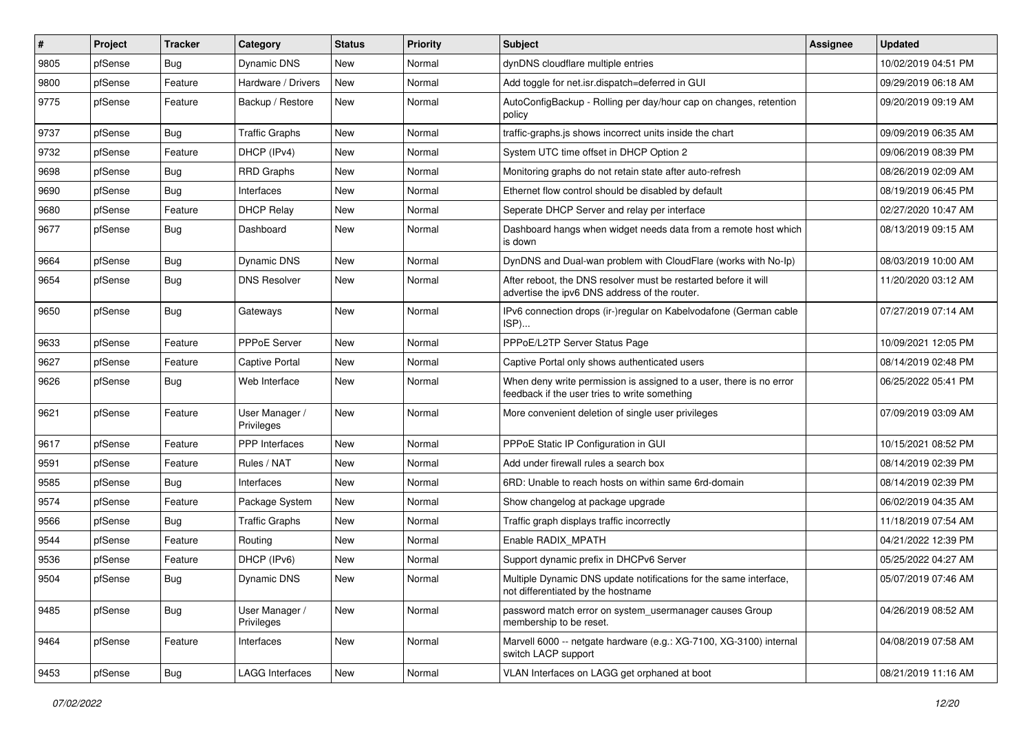| #    | Project | <b>Tracker</b> | Category                     | <b>Status</b> | <b>Priority</b> | <b>Subject</b>                                                                                                       | <b>Assignee</b> | <b>Updated</b>      |
|------|---------|----------------|------------------------------|---------------|-----------------|----------------------------------------------------------------------------------------------------------------------|-----------------|---------------------|
| 9805 | pfSense | <b>Bug</b>     | Dynamic DNS                  | New           | Normal          | dynDNS cloudflare multiple entries                                                                                   |                 | 10/02/2019 04:51 PM |
| 9800 | pfSense | Feature        | Hardware / Drivers           | <b>New</b>    | Normal          | Add toggle for net.isr.dispatch=deferred in GUI                                                                      |                 | 09/29/2019 06:18 AM |
| 9775 | pfSense | Feature        | Backup / Restore             | New           | Normal          | AutoConfigBackup - Rolling per day/hour cap on changes, retention<br>policy                                          |                 | 09/20/2019 09:19 AM |
| 9737 | pfSense | <b>Bug</b>     | <b>Traffic Graphs</b>        | New           | Normal          | traffic-graphs.js shows incorrect units inside the chart                                                             |                 | 09/09/2019 06:35 AM |
| 9732 | pfSense | Feature        | DHCP (IPv4)                  | New           | Normal          | System UTC time offset in DHCP Option 2                                                                              |                 | 09/06/2019 08:39 PM |
| 9698 | pfSense | Bug            | <b>RRD Graphs</b>            | New           | Normal          | Monitoring graphs do not retain state after auto-refresh                                                             |                 | 08/26/2019 02:09 AM |
| 9690 | pfSense | <b>Bug</b>     | Interfaces                   | New           | Normal          | Ethernet flow control should be disabled by default                                                                  |                 | 08/19/2019 06:45 PM |
| 9680 | pfSense | Feature        | <b>DHCP Relay</b>            | New           | Normal          | Seperate DHCP Server and relay per interface                                                                         |                 | 02/27/2020 10:47 AM |
| 9677 | pfSense | <b>Bug</b>     | Dashboard                    | New           | Normal          | Dashboard hangs when widget needs data from a remote host which<br>is down                                           |                 | 08/13/2019 09:15 AM |
| 9664 | pfSense | <b>Bug</b>     | Dynamic DNS                  | <b>New</b>    | Normal          | DynDNS and Dual-wan problem with CloudFlare (works with No-Ip)                                                       |                 | 08/03/2019 10:00 AM |
| 9654 | pfSense | <b>Bug</b>     | <b>DNS Resolver</b>          | <b>New</b>    | Normal          | After reboot, the DNS resolver must be restarted before it will<br>advertise the ipv6 DNS address of the router.     |                 | 11/20/2020 03:12 AM |
| 9650 | pfSense | Bug            | Gateways                     | New           | Normal          | IPv6 connection drops (ir-)regular on Kabelvodafone (German cable<br>ISP)                                            |                 | 07/27/2019 07:14 AM |
| 9633 | pfSense | Feature        | PPPoE Server                 | <b>New</b>    | Normal          | PPPoE/L2TP Server Status Page                                                                                        |                 | 10/09/2021 12:05 PM |
| 9627 | pfSense | Feature        | <b>Captive Portal</b>        | New           | Normal          | Captive Portal only shows authenticated users                                                                        |                 | 08/14/2019 02:48 PM |
| 9626 | pfSense | Bug            | Web Interface                | New           | Normal          | When deny write permission is assigned to a user, there is no error<br>feedback if the user tries to write something |                 | 06/25/2022 05:41 PM |
| 9621 | pfSense | Feature        | User Manager /<br>Privileges | New           | Normal          | More convenient deletion of single user privileges                                                                   |                 | 07/09/2019 03:09 AM |
| 9617 | pfSense | Feature        | <b>PPP</b> Interfaces        | New           | Normal          | PPPoE Static IP Configuration in GUI                                                                                 |                 | 10/15/2021 08:52 PM |
| 9591 | pfSense | Feature        | Rules / NAT                  | New           | Normal          | Add under firewall rules a search box                                                                                |                 | 08/14/2019 02:39 PM |
| 9585 | pfSense | Bug            | Interfaces                   | New           | Normal          | 6RD: Unable to reach hosts on within same 6rd-domain                                                                 |                 | 08/14/2019 02:39 PM |
| 9574 | pfSense | Feature        | Package System               | <b>New</b>    | Normal          | Show changelog at package upgrade                                                                                    |                 | 06/02/2019 04:35 AM |
| 9566 | pfSense | Bug            | <b>Traffic Graphs</b>        | New           | Normal          | Traffic graph displays traffic incorrectly                                                                           |                 | 11/18/2019 07:54 AM |
| 9544 | pfSense | Feature        | Routing                      | New           | Normal          | Enable RADIX MPATH                                                                                                   |                 | 04/21/2022 12:39 PM |
| 9536 | pfSense | Feature        | DHCP (IPv6)                  | New           | Normal          | Support dynamic prefix in DHCPv6 Server                                                                              |                 | 05/25/2022 04:27 AM |
| 9504 | pfSense | Bug            | Dynamic DNS                  | New           | Normal          | Multiple Dynamic DNS update notifications for the same interface,<br>not differentiated by the hostname              |                 | 05/07/2019 07:46 AM |
| 9485 | pfSense | Bug            | User Manager /<br>Privileges | New           | Normal          | password match error on system_usermanager causes Group<br>membership to be reset.                                   |                 | 04/26/2019 08:52 AM |
| 9464 | pfSense | Feature        | Interfaces                   | New           | Normal          | Marvell 6000 -- netgate hardware (e.g.: XG-7100, XG-3100) internal<br>switch LACP support                            |                 | 04/08/2019 07:58 AM |
| 9453 | pfSense | Bug            | <b>LAGG Interfaces</b>       | New           | Normal          | VLAN Interfaces on LAGG get orphaned at boot                                                                         |                 | 08/21/2019 11:16 AM |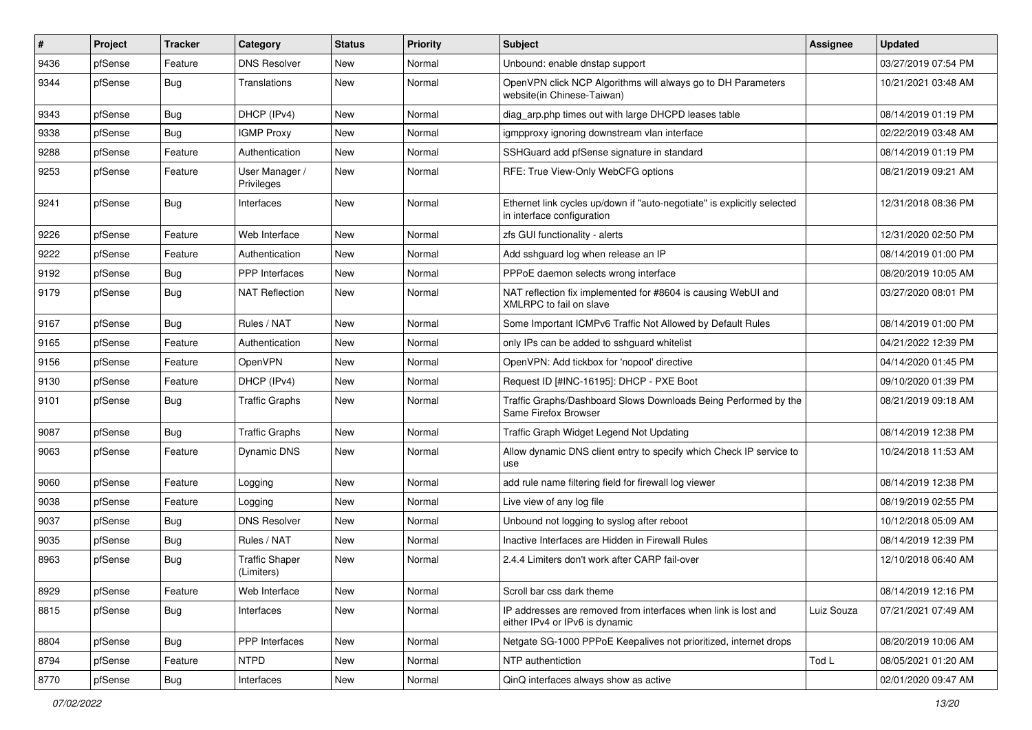| $\vert$ # | Project | <b>Tracker</b> | Category                            | <b>Status</b> | Priority | <b>Subject</b>                                                                                        | <b>Assignee</b> | <b>Updated</b>      |
|-----------|---------|----------------|-------------------------------------|---------------|----------|-------------------------------------------------------------------------------------------------------|-----------------|---------------------|
| 9436      | pfSense | Feature        | <b>DNS Resolver</b>                 | New           | Normal   | Unbound: enable dnstap support                                                                        |                 | 03/27/2019 07:54 PM |
| 9344      | pfSense | Bug            | Translations                        | <b>New</b>    | Normal   | OpenVPN click NCP Algorithms will always go to DH Parameters<br>website(in Chinese-Taiwan)            |                 | 10/21/2021 03:48 AM |
| 9343      | pfSense | Bug            | DHCP (IPv4)                         | <b>New</b>    | Normal   | diag_arp.php times out with large DHCPD leases table                                                  |                 | 08/14/2019 01:19 PM |
| 9338      | pfSense | <b>Bug</b>     | <b>IGMP Proxy</b>                   | <b>New</b>    | Normal   | igmpproxy ignoring downstream vlan interface                                                          |                 | 02/22/2019 03:48 AM |
| 9288      | pfSense | Feature        | Authentication                      | New           | Normal   | SSHGuard add pfSense signature in standard                                                            |                 | 08/14/2019 01:19 PM |
| 9253      | pfSense | Feature        | User Manager /<br>Privileges        | New           | Normal   | RFE: True View-Only WebCFG options                                                                    |                 | 08/21/2019 09:21 AM |
| 9241      | pfSense | Bug            | Interfaces                          | <b>New</b>    | Normal   | Ethernet link cycles up/down if "auto-negotiate" is explicitly selected<br>in interface configuration |                 | 12/31/2018 08:36 PM |
| 9226      | pfSense | Feature        | Web Interface                       | New           | Normal   | zfs GUI functionality - alerts                                                                        |                 | 12/31/2020 02:50 PM |
| 9222      | pfSense | Feature        | Authentication                      | New           | Normal   | Add sshguard log when release an IP                                                                   |                 | 08/14/2019 01:00 PM |
| 9192      | pfSense | <b>Bug</b>     | PPP Interfaces                      | <b>New</b>    | Normal   | PPPoE daemon selects wrong interface                                                                  |                 | 08/20/2019 10:05 AM |
| 9179      | pfSense | Bug            | <b>NAT Reflection</b>               | New           | Normal   | NAT reflection fix implemented for #8604 is causing WebUI and<br>XMLRPC to fail on slave              |                 | 03/27/2020 08:01 PM |
| 9167      | pfSense | Bug            | Rules / NAT                         | <b>New</b>    | Normal   | Some Important ICMPv6 Traffic Not Allowed by Default Rules                                            |                 | 08/14/2019 01:00 PM |
| 9165      | pfSense | Feature        | Authentication                      | <b>New</b>    | Normal   | only IPs can be added to sshguard whitelist                                                           |                 | 04/21/2022 12:39 PM |
| 9156      | pfSense | Feature        | <b>OpenVPN</b>                      | <b>New</b>    | Normal   | OpenVPN: Add tickbox for 'nopool' directive                                                           |                 | 04/14/2020 01:45 PM |
| 9130      | pfSense | Feature        | DHCP (IPv4)                         | New           | Normal   | Request ID [#INC-16195]: DHCP - PXE Boot                                                              |                 | 09/10/2020 01:39 PM |
| 9101      | pfSense | Bug            | <b>Traffic Graphs</b>               | New           | Normal   | Traffic Graphs/Dashboard Slows Downloads Being Performed by the<br>Same Firefox Browser               |                 | 08/21/2019 09:18 AM |
| 9087      | pfSense | Bug            | <b>Traffic Graphs</b>               | New           | Normal   | Traffic Graph Widget Legend Not Updating                                                              |                 | 08/14/2019 12:38 PM |
| 9063      | pfSense | Feature        | Dynamic DNS                         | New           | Normal   | Allow dynamic DNS client entry to specify which Check IP service to<br>use                            |                 | 10/24/2018 11:53 AM |
| 9060      | pfSense | Feature        | Logging                             | <b>New</b>    | Normal   | add rule name filtering field for firewall log viewer                                                 |                 | 08/14/2019 12:38 PM |
| 9038      | pfSense | Feature        | Logging                             | <b>New</b>    | Normal   | Live view of any log file                                                                             |                 | 08/19/2019 02:55 PM |
| 9037      | pfSense | Bug            | <b>DNS Resolver</b>                 | <b>New</b>    | Normal   | Unbound not logging to syslog after reboot                                                            |                 | 10/12/2018 05:09 AM |
| 9035      | pfSense | <b>Bug</b>     | Rules / NAT                         | <b>New</b>    | Normal   | Inactive Interfaces are Hidden in Firewall Rules                                                      |                 | 08/14/2019 12:39 PM |
| 8963      | pfSense | Bug            | <b>Traffic Shaper</b><br>(Limiters) | New           | Normal   | 2.4.4 Limiters don't work after CARP fail-over                                                        |                 | 12/10/2018 06:40 AM |
| 8929      | pfSense | Feature        | Web Interface                       | New           | Normal   | Scroll bar css dark theme                                                                             |                 | 08/14/2019 12:16 PM |
| 8815      | pfSense | <b>Bug</b>     | Interfaces                          | New           | Normal   | IP addresses are removed from interfaces when link is lost and<br>either IPv4 or IPv6 is dynamic      | Luiz Souza      | 07/21/2021 07:49 AM |
| 8804      | pfSense | Bug            | <b>PPP</b> Interfaces               | <b>New</b>    | Normal   | Netgate SG-1000 PPPoE Keepalives not prioritized, internet drops                                      |                 | 08/20/2019 10:06 AM |
| 8794      | pfSense | Feature        | <b>NTPD</b>                         | New           | Normal   | NTP authentiction                                                                                     | Tod L           | 08/05/2021 01:20 AM |
| 8770      | pfSense | <b>Bug</b>     | Interfaces                          | New           | Normal   | QinQ interfaces always show as active                                                                 |                 | 02/01/2020 09:47 AM |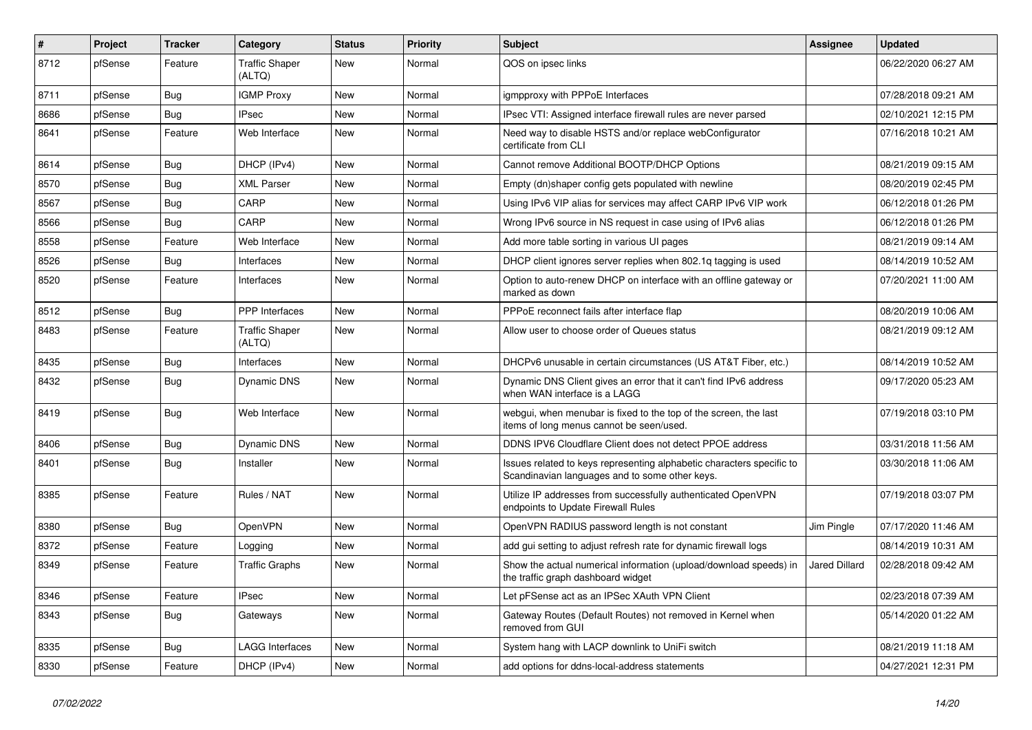| #    | Project | <b>Tracker</b> | Category                        | <b>Status</b> | <b>Priority</b> | <b>Subject</b>                                                                                                          | Assignee      | <b>Updated</b>      |
|------|---------|----------------|---------------------------------|---------------|-----------------|-------------------------------------------------------------------------------------------------------------------------|---------------|---------------------|
| 8712 | pfSense | Feature        | <b>Traffic Shaper</b><br>(ALTQ) | New           | Normal          | QOS on ipsec links                                                                                                      |               | 06/22/2020 06:27 AM |
| 8711 | pfSense | Bug            | <b>IGMP Proxy</b>               | New           | Normal          | igmpproxy with PPPoE Interfaces                                                                                         |               | 07/28/2018 09:21 AM |
| 8686 | pfSense | <b>Bug</b>     | <b>IPsec</b>                    | New           | Normal          | IPsec VTI: Assigned interface firewall rules are never parsed                                                           |               | 02/10/2021 12:15 PM |
| 8641 | pfSense | Feature        | Web Interface                   | <b>New</b>    | Normal          | Need way to disable HSTS and/or replace webConfigurator<br>certificate from CLI                                         |               | 07/16/2018 10:21 AM |
| 8614 | pfSense | Bug            | DHCP (IPv4)                     | <b>New</b>    | Normal          | Cannot remove Additional BOOTP/DHCP Options                                                                             |               | 08/21/2019 09:15 AM |
| 8570 | pfSense | Bug            | <b>XML Parser</b>               | New           | Normal          | Empty (dn)shaper config gets populated with newline                                                                     |               | 08/20/2019 02:45 PM |
| 8567 | pfSense | <b>Bug</b>     | CARP                            | <b>New</b>    | Normal          | Using IPv6 VIP alias for services may affect CARP IPv6 VIP work                                                         |               | 06/12/2018 01:26 PM |
| 8566 | pfSense | <b>Bug</b>     | CARP                            | <b>New</b>    | Normal          | Wrong IPv6 source in NS request in case using of IPv6 alias                                                             |               | 06/12/2018 01:26 PM |
| 8558 | pfSense | Feature        | Web Interface                   | New           | Normal          | Add more table sorting in various UI pages                                                                              |               | 08/21/2019 09:14 AM |
| 8526 | pfSense | <b>Bug</b>     | Interfaces                      | New           | Normal          | DHCP client ignores server replies when 802.1q tagging is used                                                          |               | 08/14/2019 10:52 AM |
| 8520 | pfSense | Feature        | Interfaces                      | New           | Normal          | Option to auto-renew DHCP on interface with an offline gateway or<br>marked as down                                     |               | 07/20/2021 11:00 AM |
| 8512 | pfSense | <b>Bug</b>     | PPP Interfaces                  | <b>New</b>    | Normal          | PPPoE reconnect fails after interface flap                                                                              |               | 08/20/2019 10:06 AM |
| 8483 | pfSense | Feature        | <b>Traffic Shaper</b><br>(ALTQ) | New           | Normal          | Allow user to choose order of Queues status                                                                             |               | 08/21/2019 09:12 AM |
| 8435 | pfSense | <b>Bug</b>     | Interfaces                      | <b>New</b>    | Normal          | DHCPv6 unusable in certain circumstances (US AT&T Fiber, etc.)                                                          |               | 08/14/2019 10:52 AM |
| 8432 | pfSense | <b>Bug</b>     | <b>Dynamic DNS</b>              | New           | Normal          | Dynamic DNS Client gives an error that it can't find IPv6 address<br>when WAN interface is a LAGG                       |               | 09/17/2020 05:23 AM |
| 8419 | pfSense | <b>Bug</b>     | Web Interface                   | <b>New</b>    | Normal          | webgui, when menubar is fixed to the top of the screen, the last<br>items of long menus cannot be seen/used.            |               | 07/19/2018 03:10 PM |
| 8406 | pfSense | Bug            | Dynamic DNS                     | <b>New</b>    | Normal          | DDNS IPV6 Cloudflare Client does not detect PPOE address                                                                |               | 03/31/2018 11:56 AM |
| 8401 | pfSense | <b>Bug</b>     | Installer                       | New           | Normal          | Issues related to keys representing alphabetic characters specific to<br>Scandinavian languages and to some other keys. |               | 03/30/2018 11:06 AM |
| 8385 | pfSense | Feature        | Rules / NAT                     | <b>New</b>    | Normal          | Utilize IP addresses from successfully authenticated OpenVPN<br>endpoints to Update Firewall Rules                      |               | 07/19/2018 03:07 PM |
| 8380 | pfSense | Bug            | OpenVPN                         | <b>New</b>    | Normal          | OpenVPN RADIUS password length is not constant                                                                          | Jim Pingle    | 07/17/2020 11:46 AM |
| 8372 | pfSense | Feature        | Logging                         | New           | Normal          | add gui setting to adjust refresh rate for dynamic firewall logs                                                        |               | 08/14/2019 10:31 AM |
| 8349 | pfSense | Feature        | <b>Traffic Graphs</b>           | New           | Normal          | Show the actual numerical information (upload/download speeds) in<br>the traffic graph dashboard widget                 | Jared Dillard | 02/28/2018 09:42 AM |
| 8346 | pfSense | Feature        | <b>IPsec</b>                    | New           | Normal          | Let pFSense act as an IPSec XAuth VPN Client                                                                            |               | 02/23/2018 07:39 AM |
| 8343 | pfSense | <b>Bug</b>     | Gateways                        | New           | Normal          | Gateway Routes (Default Routes) not removed in Kernel when<br>removed from GUI                                          |               | 05/14/2020 01:22 AM |
| 8335 | pfSense | Bug            | <b>LAGG Interfaces</b>          | New           | Normal          | System hang with LACP downlink to UniFi switch                                                                          |               | 08/21/2019 11:18 AM |
| 8330 | pfSense | Feature        | DHCP (IPv4)                     | New           | Normal          | add options for ddns-local-address statements                                                                           |               | 04/27/2021 12:31 PM |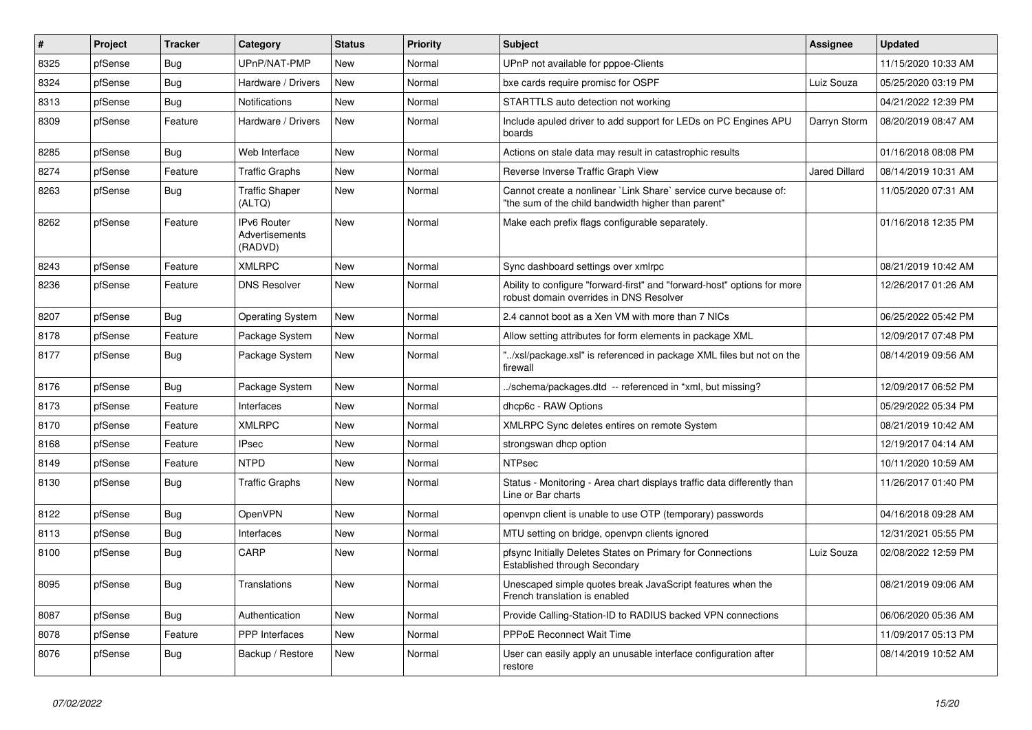| #    | Project | Tracker    | Category                                 | <b>Status</b> | <b>Priority</b> | <b>Subject</b>                                                                                                          | Assignee             | <b>Updated</b>      |
|------|---------|------------|------------------------------------------|---------------|-----------------|-------------------------------------------------------------------------------------------------------------------------|----------------------|---------------------|
| 8325 | pfSense | Bug        | UPnP/NAT-PMP                             | <b>New</b>    | Normal          | UPnP not available for pppoe-Clients                                                                                    |                      | 11/15/2020 10:33 AM |
| 8324 | pfSense | Bug        | Hardware / Drivers                       | <b>New</b>    | Normal          | bxe cards require promisc for OSPF                                                                                      | Luiz Souza           | 05/25/2020 03:19 PM |
| 8313 | pfSense | Bug        | <b>Notifications</b>                     | New           | Normal          | STARTTLS auto detection not working                                                                                     |                      | 04/21/2022 12:39 PM |
| 8309 | pfSense | Feature    | Hardware / Drivers                       | <b>New</b>    | Normal          | Include apuled driver to add support for LEDs on PC Engines APU<br>boards                                               | Darryn Storm         | 08/20/2019 08:47 AM |
| 8285 | pfSense | Bug        | Web Interface                            | New           | Normal          | Actions on stale data may result in catastrophic results                                                                |                      | 01/16/2018 08:08 PM |
| 8274 | pfSense | Feature    | <b>Traffic Graphs</b>                    | <b>New</b>    | Normal          | Reverse Inverse Traffic Graph View                                                                                      | <b>Jared Dillard</b> | 08/14/2019 10:31 AM |
| 8263 | pfSense | Bug        | <b>Traffic Shaper</b><br>(ALTQ)          | <b>New</b>    | Normal          | Cannot create a nonlinear `Link Share` service curve because of:<br>"the sum of the child bandwidth higher than parent" |                      | 11/05/2020 07:31 AM |
| 8262 | pfSense | Feature    | IPv6 Router<br>Advertisements<br>(RADVD) | <b>New</b>    | Normal          | Make each prefix flags configurable separately.                                                                         |                      | 01/16/2018 12:35 PM |
| 8243 | pfSense | Feature    | <b>XMLRPC</b>                            | New           | Normal          | Sync dashboard settings over xmlrpc                                                                                     |                      | 08/21/2019 10:42 AM |
| 8236 | pfSense | Feature    | <b>DNS Resolver</b>                      | New           | Normal          | Ability to configure "forward-first" and "forward-host" options for more<br>robust domain overrides in DNS Resolver     |                      | 12/26/2017 01:26 AM |
| 8207 | pfSense | <b>Bug</b> | <b>Operating System</b>                  | <b>New</b>    | Normal          | 2.4 cannot boot as a Xen VM with more than 7 NICs                                                                       |                      | 06/25/2022 05:42 PM |
| 8178 | pfSense | Feature    | Package System                           | New           | Normal          | Allow setting attributes for form elements in package XML                                                               |                      | 12/09/2017 07:48 PM |
| 8177 | pfSense | Bug        | Package System                           | <b>New</b>    | Normal          | "/xsl/package.xsl" is referenced in package XML files but not on the<br>firewall                                        |                      | 08/14/2019 09:56 AM |
| 8176 | pfSense | Bug        | Package System                           | New           | Normal          | ./schema/packages.dtd -- referenced in *xml, but missing?                                                               |                      | 12/09/2017 06:52 PM |
| 8173 | pfSense | Feature    | Interfaces                               | <b>New</b>    | Normal          | dhcp6c - RAW Options                                                                                                    |                      | 05/29/2022 05:34 PM |
| 8170 | pfSense | Feature    | <b>XMLRPC</b>                            | <b>New</b>    | Normal          | XMLRPC Sync deletes entires on remote System                                                                            |                      | 08/21/2019 10:42 AM |
| 8168 | pfSense | Feature    | <b>IPsec</b>                             | New           | Normal          | strongswan dhcp option                                                                                                  |                      | 12/19/2017 04:14 AM |
| 8149 | pfSense | Feature    | <b>NTPD</b>                              | <b>New</b>    | Normal          | <b>NTPsec</b>                                                                                                           |                      | 10/11/2020 10:59 AM |
| 8130 | pfSense | <b>Bug</b> | <b>Traffic Graphs</b>                    | <b>New</b>    | Normal          | Status - Monitoring - Area chart displays traffic data differently than<br>Line or Bar charts                           |                      | 11/26/2017 01:40 PM |
| 8122 | pfSense | Bug        | <b>OpenVPN</b>                           | New           | Normal          | openvpn client is unable to use OTP (temporary) passwords                                                               |                      | 04/16/2018 09:28 AM |
| 8113 | pfSense | <b>Bug</b> | Interfaces                               | New           | Normal          | MTU setting on bridge, openvpn clients ignored                                                                          |                      | 12/31/2021 05:55 PM |
| 8100 | pfSense | Bug        | CARP                                     | New           | Normal          | pfsync Initially Deletes States on Primary for Connections<br><b>Established through Secondary</b>                      | Luiz Souza           | 02/08/2022 12:59 PM |
| 8095 | pfSense | Bug        | Translations                             | <b>New</b>    | Normal          | Unescaped simple quotes break JavaScript features when the<br>French translation is enabled                             |                      | 08/21/2019 09:06 AM |
| 8087 | pfSense | <b>Bug</b> | Authentication                           | New           | Normal          | Provide Calling-Station-ID to RADIUS backed VPN connections                                                             |                      | 06/06/2020 05:36 AM |
| 8078 | pfSense | Feature    | <b>PPP</b> Interfaces                    | <b>New</b>    | Normal          | PPPoE Reconnect Wait Time                                                                                               |                      | 11/09/2017 05:13 PM |
| 8076 | pfSense | <b>Bug</b> | Backup / Restore                         | <b>New</b>    | Normal          | User can easily apply an unusable interface configuration after<br>restore                                              |                      | 08/14/2019 10:52 AM |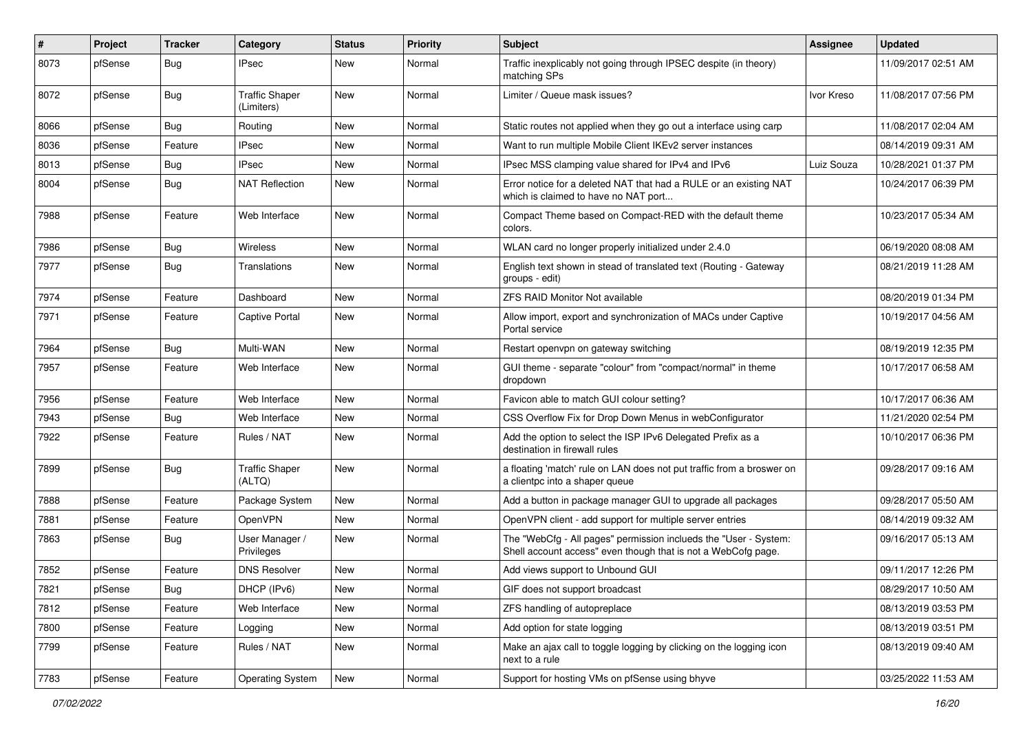| $\vert$ # | Project | <b>Tracker</b> | Category                            | <b>Status</b> | <b>Priority</b> | <b>Subject</b>                                                                                                                    | <b>Assignee</b> | <b>Updated</b>      |
|-----------|---------|----------------|-------------------------------------|---------------|-----------------|-----------------------------------------------------------------------------------------------------------------------------------|-----------------|---------------------|
| 8073      | pfSense | <b>Bug</b>     | <b>IPsec</b>                        | New           | Normal          | Traffic inexplicably not going through IPSEC despite (in theory)<br>matching SPs                                                  |                 | 11/09/2017 02:51 AM |
| 8072      | pfSense | <b>Bug</b>     | <b>Traffic Shaper</b><br>(Limiters) | New           | Normal          | Limiter / Queue mask issues?                                                                                                      | Ivor Kreso      | 11/08/2017 07:56 PM |
| 8066      | pfSense | <b>Bug</b>     | Routing                             | <b>New</b>    | Normal          | Static routes not applied when they go out a interface using carp                                                                 |                 | 11/08/2017 02:04 AM |
| 8036      | pfSense | Feature        | <b>IPsec</b>                        | New           | Normal          | Want to run multiple Mobile Client IKEv2 server instances                                                                         |                 | 08/14/2019 09:31 AM |
| 8013      | pfSense | Bug            | <b>IPsec</b>                        | New           | Normal          | IPsec MSS clamping value shared for IPv4 and IPv6                                                                                 | Luiz Souza      | 10/28/2021 01:37 PM |
| 8004      | pfSense | <b>Bug</b>     | <b>NAT Reflection</b>               | <b>New</b>    | Normal          | Error notice for a deleted NAT that had a RULE or an existing NAT<br>which is claimed to have no NAT port                         |                 | 10/24/2017 06:39 PM |
| 7988      | pfSense | Feature        | Web Interface                       | New           | Normal          | Compact Theme based on Compact-RED with the default theme<br>colors.                                                              |                 | 10/23/2017 05:34 AM |
| 7986      | pfSense | <b>Bug</b>     | Wireless                            | <b>New</b>    | Normal          | WLAN card no longer properly initialized under 2.4.0                                                                              |                 | 06/19/2020 08:08 AM |
| 7977      | pfSense | <b>Bug</b>     | Translations                        | <b>New</b>    | Normal          | English text shown in stead of translated text (Routing - Gateway<br>groups - edit)                                               |                 | 08/21/2019 11:28 AM |
| 7974      | pfSense | Feature        | Dashboard                           | <b>New</b>    | Normal          | <b>ZFS RAID Monitor Not available</b>                                                                                             |                 | 08/20/2019 01:34 PM |
| 7971      | pfSense | Feature        | <b>Captive Portal</b>               | <b>New</b>    | Normal          | Allow import, export and synchronization of MACs under Captive<br>Portal service                                                  |                 | 10/19/2017 04:56 AM |
| 7964      | pfSense | <b>Bug</b>     | Multi-WAN                           | <b>New</b>    | Normal          | Restart openvpn on gateway switching                                                                                              |                 | 08/19/2019 12:35 PM |
| 7957      | pfSense | Feature        | Web Interface                       | <b>New</b>    | Normal          | GUI theme - separate "colour" from "compact/normal" in theme<br>dropdown                                                          |                 | 10/17/2017 06:58 AM |
| 7956      | pfSense | Feature        | Web Interface                       | <b>New</b>    | Normal          | Favicon able to match GUI colour setting?                                                                                         |                 | 10/17/2017 06:36 AM |
| 7943      | pfSense | Bug            | Web Interface                       | New           | Normal          | CSS Overflow Fix for Drop Down Menus in webConfigurator                                                                           |                 | 11/21/2020 02:54 PM |
| 7922      | pfSense | Feature        | Rules / NAT                         | New           | Normal          | Add the option to select the ISP IPv6 Delegated Prefix as a<br>destination in firewall rules                                      |                 | 10/10/2017 06:36 PM |
| 7899      | pfSense | <b>Bug</b>     | <b>Traffic Shaper</b><br>(ALTQ)     | <b>New</b>    | Normal          | a floating 'match' rule on LAN does not put traffic from a broswer on<br>a clientpc into a shaper queue                           |                 | 09/28/2017 09:16 AM |
| 7888      | pfSense | Feature        | Package System                      | <b>New</b>    | Normal          | Add a button in package manager GUI to upgrade all packages                                                                       |                 | 09/28/2017 05:50 AM |
| 7881      | pfSense | Feature        | OpenVPN                             | New           | Normal          | OpenVPN client - add support for multiple server entries                                                                          |                 | 08/14/2019 09:32 AM |
| 7863      | pfSense | <b>Bug</b>     | User Manager /<br>Privileges        | New           | Normal          | The "WebCfg - All pages" permission inclueds the "User - System:<br>Shell account access" even though that is not a WebCofg page. |                 | 09/16/2017 05:13 AM |
| 7852      | pfSense | Feature        | <b>DNS Resolver</b>                 | <b>New</b>    | Normal          | Add views support to Unbound GUI                                                                                                  |                 | 09/11/2017 12:26 PM |
| 7821      | pfSense | Bug            | DHCP (IPv6)                         | <b>New</b>    | Normal          | GIF does not support broadcast                                                                                                    |                 | 08/29/2017 10:50 AM |
| 7812      | pfSense | Feature        | Web Interface                       | New           | Normal          | ZFS handling of autopreplace                                                                                                      |                 | 08/13/2019 03:53 PM |
| 7800      | pfSense | Feature        | Logging                             | New           | Normal          | Add option for state logging                                                                                                      |                 | 08/13/2019 03:51 PM |
| 7799      | pfSense | Feature        | Rules / NAT                         | New           | Normal          | Make an ajax call to toggle logging by clicking on the logging icon<br>next to a rule                                             |                 | 08/13/2019 09:40 AM |
| 7783      | pfSense | Feature        | <b>Operating System</b>             | New           | Normal          | Support for hosting VMs on pfSense using bhyve                                                                                    |                 | 03/25/2022 11:53 AM |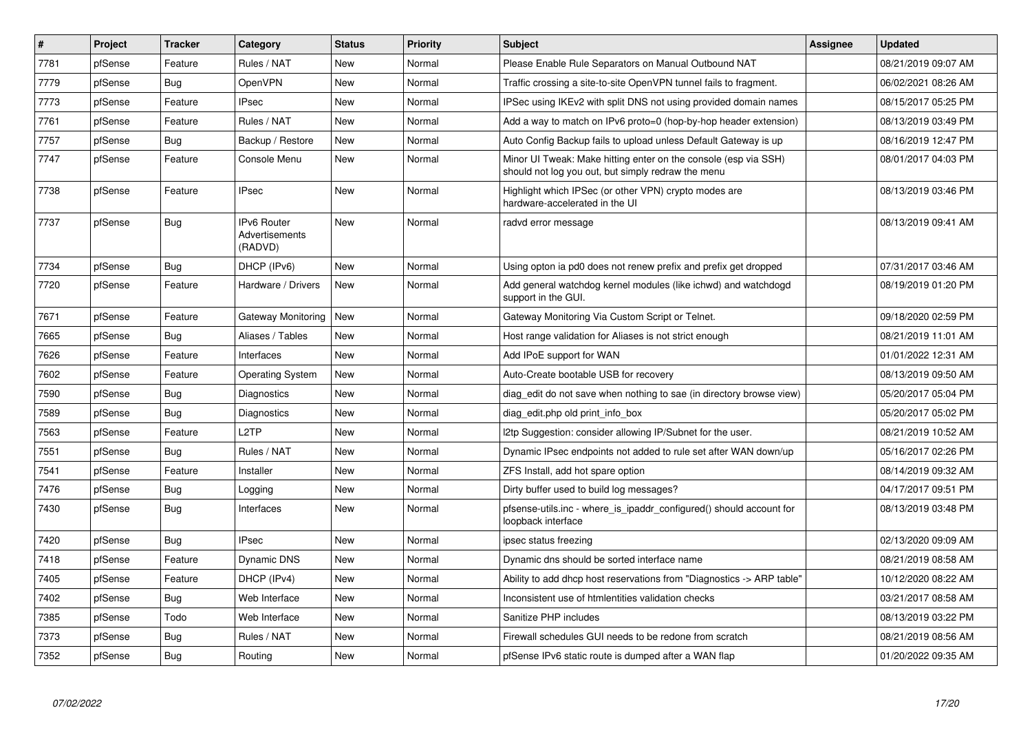| $\vert$ # | Project | <b>Tracker</b> | Category                                        | <b>Status</b> | <b>Priority</b> | <b>Subject</b>                                                                                                        | Assignee | Updated             |
|-----------|---------|----------------|-------------------------------------------------|---------------|-----------------|-----------------------------------------------------------------------------------------------------------------------|----------|---------------------|
| 7781      | pfSense | Feature        | Rules / NAT                                     | <b>New</b>    | Normal          | Please Enable Rule Separators on Manual Outbound NAT                                                                  |          | 08/21/2019 09:07 AM |
| 7779      | pfSense | Bug            | <b>OpenVPN</b>                                  | New           | Normal          | Traffic crossing a site-to-site OpenVPN tunnel fails to fragment.                                                     |          | 06/02/2021 08:26 AM |
| 7773      | pfSense | Feature        | <b>IPsec</b>                                    | <b>New</b>    | Normal          | IPSec using IKEv2 with split DNS not using provided domain names                                                      |          | 08/15/2017 05:25 PM |
| 7761      | pfSense | Feature        | Rules / NAT                                     | <b>New</b>    | Normal          | Add a way to match on IPv6 proto=0 (hop-by-hop header extension)                                                      |          | 08/13/2019 03:49 PM |
| 7757      | pfSense | <b>Bug</b>     | Backup / Restore                                | New           | Normal          | Auto Config Backup fails to upload unless Default Gateway is up                                                       |          | 08/16/2019 12:47 PM |
| 7747      | pfSense | Feature        | Console Menu                                    | New           | Normal          | Minor UI Tweak: Make hitting enter on the console (esp via SSH)<br>should not log you out, but simply redraw the menu |          | 08/01/2017 04:03 PM |
| 7738      | pfSense | Feature        | <b>IPsec</b>                                    | <b>New</b>    | Normal          | Highlight which IPSec (or other VPN) crypto modes are<br>hardware-accelerated in the UI                               |          | 08/13/2019 03:46 PM |
| 7737      | pfSense | <b>Bug</b>     | <b>IPv6 Router</b><br>Advertisements<br>(RADVD) | <b>New</b>    | Normal          | radvd error message                                                                                                   |          | 08/13/2019 09:41 AM |
| 7734      | pfSense | Bug            | DHCP (IPv6)                                     | <b>New</b>    | Normal          | Using opton ia pd0 does not renew prefix and prefix get dropped                                                       |          | 07/31/2017 03:46 AM |
| 7720      | pfSense | Feature        | Hardware / Drivers                              | <b>New</b>    | Normal          | Add general watchdog kernel modules (like ichwd) and watchdogd<br>support in the GUI.                                 |          | 08/19/2019 01:20 PM |
| 7671      | pfSense | Feature        | Gateway Monitoring                              | New           | Normal          | Gateway Monitoring Via Custom Script or Telnet.                                                                       |          | 09/18/2020 02:59 PM |
| 7665      | pfSense | <b>Bug</b>     | Aliases / Tables                                | <b>New</b>    | Normal          | Host range validation for Aliases is not strict enough                                                                |          | 08/21/2019 11:01 AM |
| 7626      | pfSense | Feature        | Interfaces                                      | New           | Normal          | Add IPoE support for WAN                                                                                              |          | 01/01/2022 12:31 AM |
| 7602      | pfSense | Feature        | Operating System                                | New           | Normal          | Auto-Create bootable USB for recovery                                                                                 |          | 08/13/2019 09:50 AM |
| 7590      | pfSense | <b>Bug</b>     | Diagnostics                                     | New           | Normal          | diag edit do not save when nothing to sae (in directory browse view)                                                  |          | 05/20/2017 05:04 PM |
| 7589      | pfSense | <b>Bug</b>     | Diagnostics                                     | <b>New</b>    | Normal          | diag_edit.php old print_info_box                                                                                      |          | 05/20/2017 05:02 PM |
| 7563      | pfSense | Feature        | L <sub>2</sub> TP                               | New           | Normal          | I2tp Suggestion: consider allowing IP/Subnet for the user.                                                            |          | 08/21/2019 10:52 AM |
| 7551      | pfSense | <b>Bug</b>     | Rules / NAT                                     | <b>New</b>    | Normal          | Dynamic IPsec endpoints not added to rule set after WAN down/up                                                       |          | 05/16/2017 02:26 PM |
| 7541      | pfSense | Feature        | Installer                                       | New           | Normal          | ZFS Install, add hot spare option                                                                                     |          | 08/14/2019 09:32 AM |
| 7476      | pfSense | Bug            | Logging                                         | <b>New</b>    | Normal          | Dirty buffer used to build log messages?                                                                              |          | 04/17/2017 09:51 PM |
| 7430      | pfSense | <b>Bug</b>     | Interfaces                                      | <b>New</b>    | Normal          | pfsense-utils.inc - where is ipaddr configured() should account for<br>loopback interface                             |          | 08/13/2019 03:48 PM |
| 7420      | pfSense | <b>Bug</b>     | <b>IPsec</b>                                    | New           | Normal          | ipsec status freezing                                                                                                 |          | 02/13/2020 09:09 AM |
| 7418      | pfSense | Feature        | Dynamic DNS                                     | <b>New</b>    | Normal          | Dynamic dns should be sorted interface name                                                                           |          | 08/21/2019 08:58 AM |
| 7405      | pfSense | Feature        | DHCP (IPv4)                                     | <b>New</b>    | Normal          | Ability to add dhcp host reservations from "Diagnostics -> ARP table"                                                 |          | 10/12/2020 08:22 AM |
| 7402      | pfSense | Bug            | Web Interface                                   | <b>New</b>    | Normal          | Inconsistent use of htmlentities validation checks                                                                    |          | 03/21/2017 08:58 AM |
| 7385      | pfSense | Todo           | Web Interface                                   | <b>New</b>    | Normal          | Sanitize PHP includes                                                                                                 |          | 08/13/2019 03:22 PM |
| 7373      | pfSense | Bug            | Rules / NAT                                     | <b>New</b>    | Normal          | Firewall schedules GUI needs to be redone from scratch                                                                |          | 08/21/2019 08:56 AM |
| 7352      | pfSense | Bug            | Routing                                         | <b>New</b>    | Normal          | pfSense IPv6 static route is dumped after a WAN flap                                                                  |          | 01/20/2022 09:35 AM |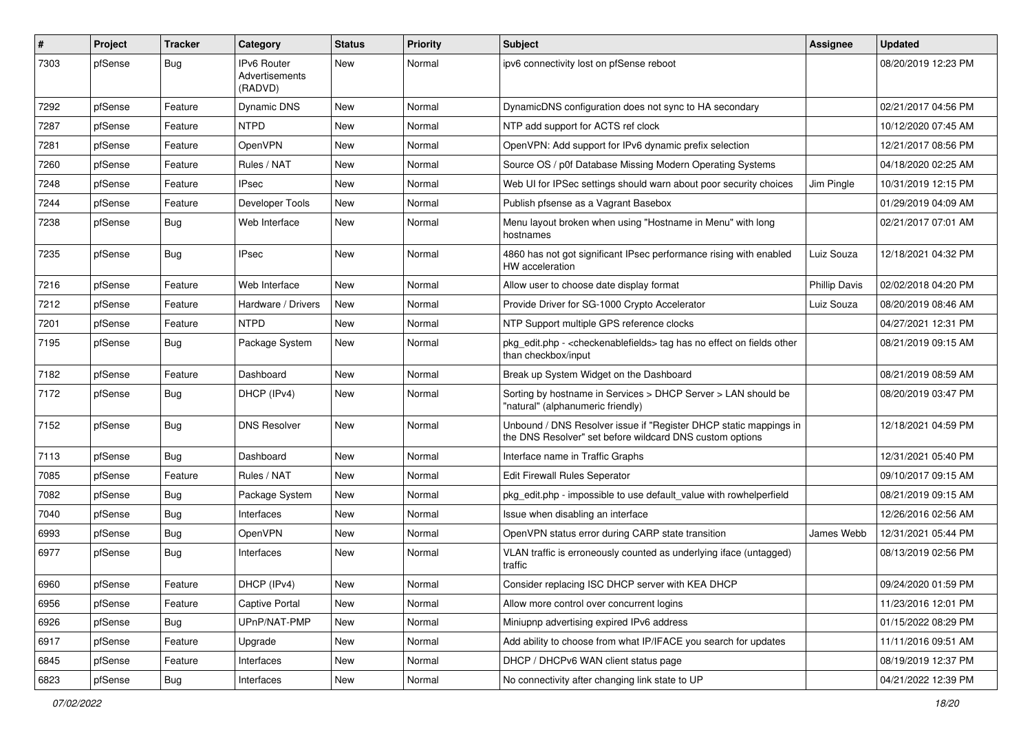| $\vert$ # | Project | <b>Tracker</b> | Category                                 | <b>Status</b> | <b>Priority</b> | Subject                                                                                                                       | Assignee             | <b>Updated</b>      |
|-----------|---------|----------------|------------------------------------------|---------------|-----------------|-------------------------------------------------------------------------------------------------------------------------------|----------------------|---------------------|
| 7303      | pfSense | <b>Bug</b>     | IPv6 Router<br>Advertisements<br>(RADVD) | New           | Normal          | ipv6 connectivity lost on pfSense reboot                                                                                      |                      | 08/20/2019 12:23 PM |
| 7292      | pfSense | Feature        | Dynamic DNS                              | New           | Normal          | DynamicDNS configuration does not sync to HA secondary                                                                        |                      | 02/21/2017 04:56 PM |
| 7287      | pfSense | Feature        | <b>NTPD</b>                              | New           | Normal          | NTP add support for ACTS ref clock                                                                                            |                      | 10/12/2020 07:45 AM |
| 7281      | pfSense | Feature        | <b>OpenVPN</b>                           | New           | Normal          | OpenVPN: Add support for IPv6 dynamic prefix selection                                                                        |                      | 12/21/2017 08:56 PM |
| 7260      | pfSense | Feature        | Rules / NAT                              | New           | Normal          | Source OS / p0f Database Missing Modern Operating Systems                                                                     |                      | 04/18/2020 02:25 AM |
| 7248      | pfSense | Feature        | <b>IPsec</b>                             | <b>New</b>    | Normal          | Web UI for IPSec settings should warn about poor security choices                                                             | Jim Pingle           | 10/31/2019 12:15 PM |
| 7244      | pfSense | Feature        | Developer Tools                          | New           | Normal          | Publish pfsense as a Vagrant Basebox                                                                                          |                      | 01/29/2019 04:09 AM |
| 7238      | pfSense | <b>Bug</b>     | Web Interface                            | New           | Normal          | Menu layout broken when using "Hostname in Menu" with long<br>hostnames                                                       |                      | 02/21/2017 07:01 AM |
| 7235      | pfSense | Bug            | <b>IPsec</b>                             | New           | Normal          | 4860 has not got significant IPsec performance rising with enabled<br><b>HW</b> acceleration                                  | Luiz Souza           | 12/18/2021 04:32 PM |
| 7216      | pfSense | Feature        | Web Interface                            | New           | Normal          | Allow user to choose date display format                                                                                      | <b>Phillip Davis</b> | 02/02/2018 04:20 PM |
| 7212      | pfSense | Feature        | Hardware / Drivers                       | New           | Normal          | Provide Driver for SG-1000 Crypto Accelerator                                                                                 | Luiz Souza           | 08/20/2019 08:46 AM |
| 7201      | pfSense | Feature        | <b>NTPD</b>                              | <b>New</b>    | Normal          | NTP Support multiple GPS reference clocks                                                                                     |                      | 04/27/2021 12:31 PM |
| 7195      | pfSense | <b>Bug</b>     | Package System                           | New           | Normal          | pkg_edit.php - <checkenablefields> tag has no effect on fields other<br/>than checkbox/input</checkenablefields>              |                      | 08/21/2019 09:15 AM |
| 7182      | pfSense | Feature        | Dashboard                                | <b>New</b>    | Normal          | Break up System Widget on the Dashboard                                                                                       |                      | 08/21/2019 08:59 AM |
| 7172      | pfSense | <b>Bug</b>     | DHCP (IPv4)                              | New           | Normal          | Sorting by hostname in Services > DHCP Server > LAN should be<br>"natural" (alphanumeric friendly)                            |                      | 08/20/2019 03:47 PM |
| 7152      | pfSense | Bug            | <b>DNS Resolver</b>                      | New           | Normal          | Unbound / DNS Resolver issue if "Register DHCP static mappings in<br>the DNS Resolver" set before wildcard DNS custom options |                      | 12/18/2021 04:59 PM |
| 7113      | pfSense | <b>Bug</b>     | Dashboard                                | <b>New</b>    | Normal          | Interface name in Traffic Graphs                                                                                              |                      | 12/31/2021 05:40 PM |
| 7085      | pfSense | Feature        | Rules / NAT                              | New           | Normal          | <b>Edit Firewall Rules Seperator</b>                                                                                          |                      | 09/10/2017 09:15 AM |
| 7082      | pfSense | <b>Bug</b>     | Package System                           | New           | Normal          | pkg edit.php - impossible to use default value with rowhelperfield                                                            |                      | 08/21/2019 09:15 AM |
| 7040      | pfSense | <b>Bug</b>     | Interfaces                               | <b>New</b>    | Normal          | Issue when disabling an interface                                                                                             |                      | 12/26/2016 02:56 AM |
| 6993      | pfSense | <b>Bug</b>     | OpenVPN                                  | <b>New</b>    | Normal          | OpenVPN status error during CARP state transition                                                                             | James Webb           | 12/31/2021 05:44 PM |
| 6977      | pfSense | <b>Bug</b>     | Interfaces                               | New           | Normal          | VLAN traffic is erroneously counted as underlying iface (untagged)<br>traffic                                                 |                      | 08/13/2019 02:56 PM |
| 6960      | pfSense | Feature        | DHCP (IPv4)                              | New           | Normal          | Consider replacing ISC DHCP server with KEA DHCP                                                                              |                      | 09/24/2020 01:59 PM |
| 6956      | pfSense | Feature        | <b>Captive Portal</b>                    | New           | Normal          | Allow more control over concurrent logins                                                                                     |                      | 11/23/2016 12:01 PM |
| 6926      | pfSense | <b>Bug</b>     | UPnP/NAT-PMP                             | New           | Normal          | Miniupnp advertising expired IPv6 address                                                                                     |                      | 01/15/2022 08:29 PM |
| 6917      | pfSense | Feature        | Upgrade                                  | New           | Normal          | Add ability to choose from what IP/IFACE you search for updates                                                               |                      | 11/11/2016 09:51 AM |
| 6845      | pfSense | Feature        | Interfaces                               | New           | Normal          | DHCP / DHCPv6 WAN client status page                                                                                          |                      | 08/19/2019 12:37 PM |
| 6823      | pfSense | Bug            | Interfaces                               | New           | Normal          | No connectivity after changing link state to UP                                                                               |                      | 04/21/2022 12:39 PM |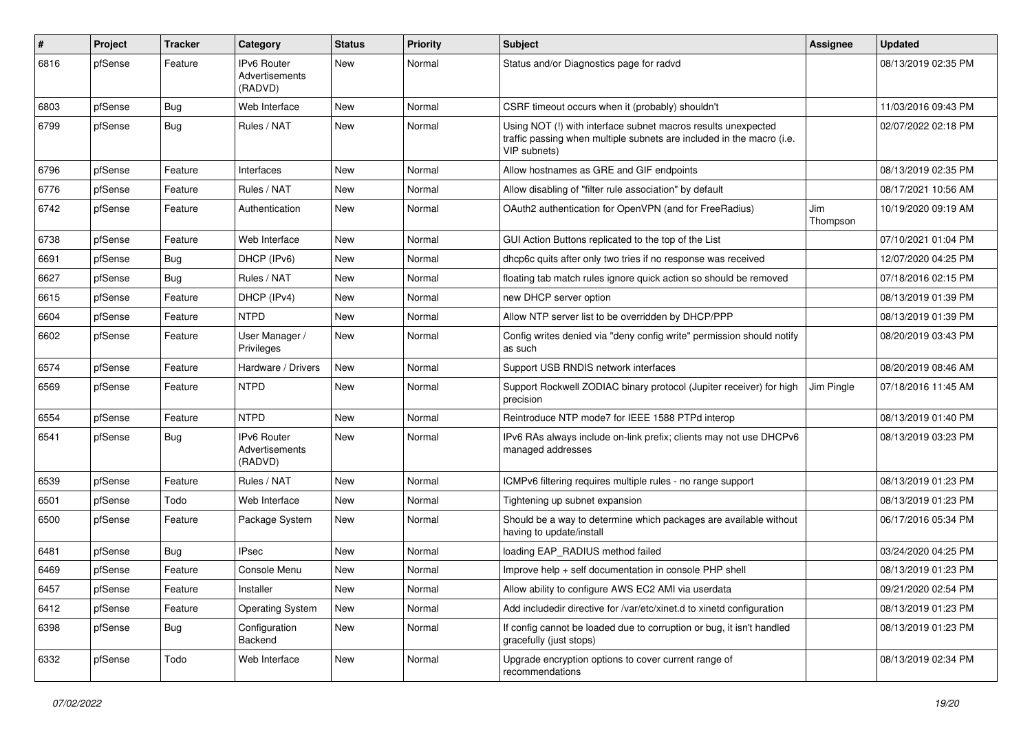| #    | Project | <b>Tracker</b> | Category                                        | <b>Status</b> | <b>Priority</b> | Subject                                                                                                                                                | Assignee        | <b>Updated</b>      |
|------|---------|----------------|-------------------------------------------------|---------------|-----------------|--------------------------------------------------------------------------------------------------------------------------------------------------------|-----------------|---------------------|
| 6816 | pfSense | Feature        | <b>IPv6 Router</b><br>Advertisements<br>(RADVD) | <b>New</b>    | Normal          | Status and/or Diagnostics page for radvd                                                                                                               |                 | 08/13/2019 02:35 PM |
| 6803 | pfSense | <b>Bug</b>     | Web Interface                                   | <b>New</b>    | Normal          | CSRF timeout occurs when it (probably) shouldn't                                                                                                       |                 | 11/03/2016 09:43 PM |
| 6799 | pfSense | <b>Bug</b>     | Rules / NAT                                     | <b>New</b>    | Normal          | Using NOT (!) with interface subnet macros results unexpected<br>traffic passing when multiple subnets are included in the macro (i.e.<br>VIP subnets) |                 | 02/07/2022 02:18 PM |
| 6796 | pfSense | Feature        | Interfaces                                      | <b>New</b>    | Normal          | Allow hostnames as GRE and GIF endpoints                                                                                                               |                 | 08/13/2019 02:35 PM |
| 6776 | pfSense | Feature        | Rules / NAT                                     | New           | Normal          | Allow disabling of "filter rule association" by default                                                                                                |                 | 08/17/2021 10:56 AM |
| 6742 | pfSense | Feature        | Authentication                                  | New           | Normal          | OAuth2 authentication for OpenVPN (and for FreeRadius)                                                                                                 | Jim<br>Thompson | 10/19/2020 09:19 AM |
| 6738 | pfSense | Feature        | Web Interface                                   | <b>New</b>    | Normal          | GUI Action Buttons replicated to the top of the List                                                                                                   |                 | 07/10/2021 01:04 PM |
| 6691 | pfSense | <b>Bug</b>     | DHCP (IPv6)                                     | New           | Normal          | dhcp6c quits after only two tries if no response was received                                                                                          |                 | 12/07/2020 04:25 PM |
| 6627 | pfSense | <b>Bug</b>     | Rules / NAT                                     | New           | Normal          | floating tab match rules ignore quick action so should be removed                                                                                      |                 | 07/18/2016 02:15 PM |
| 6615 | pfSense | Feature        | DHCP (IPv4)                                     | New           | Normal          | new DHCP server option                                                                                                                                 |                 | 08/13/2019 01:39 PM |
| 6604 | pfSense | Feature        | <b>NTPD</b>                                     | <b>New</b>    | Normal          | Allow NTP server list to be overridden by DHCP/PPP                                                                                                     |                 | 08/13/2019 01:39 PM |
| 6602 | pfSense | Feature        | User Manager /<br>Privileges                    | New           | Normal          | Config writes denied via "deny config write" permission should notify<br>as such                                                                       |                 | 08/20/2019 03:43 PM |
| 6574 | pfSense | Feature        | Hardware / Drivers                              | <b>New</b>    | Normal          | Support USB RNDIS network interfaces                                                                                                                   |                 | 08/20/2019 08:46 AM |
| 6569 | pfSense | Feature        | <b>NTPD</b>                                     | New           | Normal          | Support Rockwell ZODIAC binary protocol (Jupiter receiver) for high<br>precision                                                                       | Jim Pingle      | 07/18/2016 11:45 AM |
| 6554 | pfSense | Feature        | <b>NTPD</b>                                     | <b>New</b>    | Normal          | Reintroduce NTP mode7 for IEEE 1588 PTPd interop                                                                                                       |                 | 08/13/2019 01:40 PM |
| 6541 | pfSense | Bug            | IPv6 Router<br>Advertisements<br>(RADVD)        | New           | Normal          | IPv6 RAs always include on-link prefix; clients may not use DHCPv6<br>managed addresses                                                                |                 | 08/13/2019 03:23 PM |
| 6539 | pfSense | Feature        | Rules / NAT                                     | New           | Normal          | ICMPv6 filtering requires multiple rules - no range support                                                                                            |                 | 08/13/2019 01:23 PM |
| 6501 | pfSense | Todo           | Web Interface                                   | <b>New</b>    | Normal          | Tightening up subnet expansion                                                                                                                         |                 | 08/13/2019 01:23 PM |
| 6500 | pfSense | Feature        | Package System                                  | New           | Normal          | Should be a way to determine which packages are available without<br>having to update/install                                                          |                 | 06/17/2016 05:34 PM |
| 6481 | pfSense | <b>Bug</b>     | <b>IPsec</b>                                    | New           | Normal          | loading EAP_RADIUS method failed                                                                                                                       |                 | 03/24/2020 04:25 PM |
| 6469 | pfSense | Feature        | Console Menu                                    | New           | Normal          | Improve help + self documentation in console PHP shell                                                                                                 |                 | 08/13/2019 01:23 PM |
| 6457 | pfSense | Feature        | Installer                                       | New           | Normal          | Allow ability to configure AWS EC2 AMI via userdata                                                                                                    |                 | 09/21/2020 02:54 PM |
| 6412 | pfSense | Feature        | <b>Operating System</b>                         | New           | Normal          | Add includedir directive for /var/etc/xinet.d to xinetd configuration                                                                                  |                 | 08/13/2019 01:23 PM |
| 6398 | pfSense | Bug            | Configuration<br>Backend                        | New           | Normal          | If config cannot be loaded due to corruption or bug, it isn't handled<br>gracefully (just stops)                                                       |                 | 08/13/2019 01:23 PM |
| 6332 | pfSense | Todo           | Web Interface                                   | New           | Normal          | Upgrade encryption options to cover current range of<br>recommendations                                                                                |                 | 08/13/2019 02:34 PM |